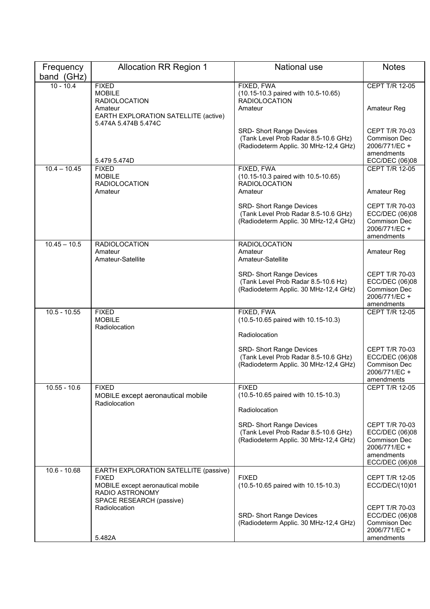| Frequency      | <b>Allocation RR Region 1</b>                                                                                                             | <b>National use</b>                                                                                              | <b>Notes</b>                                                                                      |
|----------------|-------------------------------------------------------------------------------------------------------------------------------------------|------------------------------------------------------------------------------------------------------------------|---------------------------------------------------------------------------------------------------|
| band (GHz)     |                                                                                                                                           |                                                                                                                  |                                                                                                   |
| $10 - 10.4$    | <b>FIXED</b><br><b>MOBILE</b><br><b>RADIOLOCATION</b><br>Amateur<br>EARTH EXPLORATION SATELLITE (active)                                  | FIXED, FWA<br>(10.15-10.3 paired with 10.5-10.65)<br><b>RADIOLOCATION</b><br>Amateur                             | CEPT T/R 12-05<br>Amateur Reg                                                                     |
|                | 5.474A 5.474B 5.474C<br>5.479 5.474D                                                                                                      | <b>SRD- Short Range Devices</b><br>(Tank Level Prob Radar 8.5-10.6 GHz)<br>(Radiodeterm Applic. 30 MHz-12,4 GHz) | <b>CEPT T/R 70-03</b><br>Commison Dec<br>2006/771/EC +<br>amendments<br>ECC/DEC (06)08            |
| $10.4 - 10.45$ | <b>FIXED</b><br><b>MOBILE</b><br><b>RADIOLOCATION</b><br>Amateur                                                                          | FIXED, FWA<br>(10.15-10.3 paired with 10.5-10.65)<br><b>RADIOLOCATION</b><br>Amateur                             | CEPT T/R 12-05<br>Amateur Reg                                                                     |
|                |                                                                                                                                           | <b>SRD- Short Range Devices</b><br>(Tank Level Prob Radar 8.5-10.6 GHz)<br>(Radiodeterm Applic. 30 MHz-12,4 GHz) | CEPT T/R 70-03<br>ECC/DEC (06)08<br>Commison Dec<br>2006/771/EC +<br>amendments                   |
| $10.45 - 10.5$ | <b>RADIOLOCATION</b><br>Amateur<br>Amateur-Satellite                                                                                      | <b>RADIOLOCATION</b><br>Amateur<br>Amateur-Satellite                                                             | Amateur Reg                                                                                       |
|                |                                                                                                                                           | SRD- Short Range Devices<br>(Tank Level Prob Radar 8.5-10.6 Hz)<br>(Radiodeterm Applic. 30 MHz-12,4 GHz)         | CEPT T/R 70-03<br>ECC/DEC (06)08<br>Commison Dec<br>2006/771/EC +<br>amendments                   |
| $10.5 - 10.55$ | <b>FIXED</b><br><b>MOBILE</b><br>Radiolocation                                                                                            | FIXED, FWA<br>(10.5-10.65 paired with 10.15-10.3)<br>Radiolocation                                               | <b>CEPT T/R 12-05</b>                                                                             |
|                |                                                                                                                                           | <b>SRD- Short Range Devices</b><br>(Tank Level Prob Radar 8.5-10.6 GHz)<br>(Radiodeterm Applic. 30 MHz-12,4 GHz) | CEPT T/R 70-03<br>ECC/DEC (06)08<br>Commison Dec<br>2006/771/EC +<br>amendments                   |
| $10.55 - 10.6$ | <b>FIXED</b><br>MOBILE except aeronautical mobile<br>Radiolocation                                                                        | <b>FIXED</b><br>(10.5-10.65 paired with 10.15-10.3)                                                              | <b>CEPT T/R 12-05</b>                                                                             |
|                |                                                                                                                                           | Radiolocation                                                                                                    |                                                                                                   |
|                |                                                                                                                                           | SRD- Short Range Devices<br>(Tank Level Prob Radar 8.5-10.6 GHz)<br>(Radiodeterm Applic. 30 MHz-12,4 GHz)        | CEPT T/R 70-03<br>ECC/DEC (06)08<br>Commison Dec<br>2006/771/EC +<br>amendments<br>ECC/DEC (06)08 |
| $10.6 - 10.68$ | EARTH EXPLORATION SATELLITE (passive)<br><b>FIXED</b><br>MOBILE except aeronautical mobile<br>RADIO ASTRONOMY<br>SPACE RESEARCH (passive) | <b>FIXED</b><br>(10.5-10.65 paired with 10.15-10.3)                                                              | <b>CEPT T/R 12-05</b><br>ECC/DEC/(10)01                                                           |
|                | Radiolocation<br>5.482A                                                                                                                   | SRD- Short Range Devices<br>(Radiodeterm Applic. 30 MHz-12,4 GHz)                                                | CEPT T/R 70-03<br>ECC/DEC (06)08<br>Commison Dec<br>2006/771/EC +<br>amendments                   |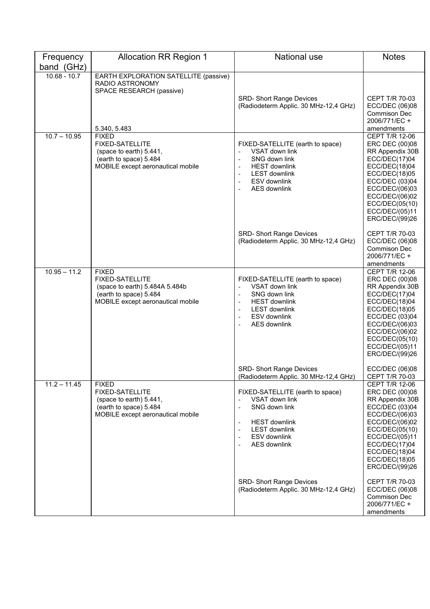| Frequency      | <b>Allocation RR Region 1</b>                                                                                                           | National use                                                                                                                                                                                                                                   | <b>Notes</b>                                                                                                                                                                                                              |
|----------------|-----------------------------------------------------------------------------------------------------------------------------------------|------------------------------------------------------------------------------------------------------------------------------------------------------------------------------------------------------------------------------------------------|---------------------------------------------------------------------------------------------------------------------------------------------------------------------------------------------------------------------------|
| band (GHz)     |                                                                                                                                         |                                                                                                                                                                                                                                                |                                                                                                                                                                                                                           |
| $10.68 - 10.7$ | EARTH EXPLORATION SATELLITE (passive)<br>RADIO ASTRONOMY<br>SPACE RESEARCH (passive)<br>5.340, 5.483                                    | <b>SRD- Short Range Devices</b><br>(Radiodeterm Applic. 30 MHz-12,4 GHz)                                                                                                                                                                       | CEPT T/R 70-03<br>ECC/DEC (06)08<br><b>Commison Dec</b><br>2006/771/EC +<br>amendments                                                                                                                                    |
| $10.7 - 10.95$ | <b>FIXED</b><br><b>FIXED-SATELLITE</b><br>(space to earth) 5.441,<br>(earth to space) 5.484<br>MOBILE except aeronautical mobile        | FIXED-SATELLITE (earth to space)<br>VSAT down link<br>$\overline{\phantom{m}}$<br>SNG down link<br>$\overline{\phantom{a}}$<br><b>HEST downlink</b><br><b>LEST downlink</b><br>÷,<br>ESV downlink<br>$\overline{a}$<br><b>AES downlink</b>     | <b>CEPT T/R 12-06</b><br>ERC DEC (00)08<br>RR Appendix 30B<br>ECC/DEC(17)04<br>ECC/DEC(18)04<br>ECC/DEC(18)05<br>ECC/DEC (03)04<br>ECC/DEC/(06)03<br>ECC/DEC/(06)02<br>ECC/DEC(05(10)<br>ECC/DEC/(05)11<br>ERC/DEC/(99)26 |
|                |                                                                                                                                         | <b>SRD- Short Range Devices</b><br>(Radiodeterm Applic. 30 MHz-12,4 GHz)                                                                                                                                                                       | CEPT T/R 70-03<br>ECC/DEC (06)08<br>Commison Dec<br>2006/771/EC +<br>amendments                                                                                                                                           |
| $10.95 - 11.2$ | <b>FIXED</b><br><b>FIXED-SATELLITE</b><br>(space to earth) 5.484A 5.484b<br>(earth to space) 5.484<br>MOBILE except aeronautical mobile | FIXED-SATELLITE (earth to space)<br>VSAT down link<br>$\overline{a}$<br>SNG down link<br>$\overline{\phantom{a}}$<br><b>HEST downlink</b><br><b>LEST downlink</b><br><b>ESV</b> downlink<br>$\overline{\phantom{m}}$<br><b>AES downlink</b>    | <b>CEPT T/R 12-06</b><br>ERC DEC (00)08<br>RR Appendix 30B<br>ECC/DEC(17)04<br>ECC/DEC(18)04<br>ECC/DEC(18)05<br>ECC/DEC (03)04<br>ECC/DEC/(06)03<br>ECC/DEC/(06)02<br>ECC/DEC(05(10)<br>ECC/DEC/(05)11<br>ERC/DEC/(99)26 |
|                |                                                                                                                                         | <b>SRD- Short Range Devices</b><br>(Radiodeterm Applic. 30 MHz-12,4 GHz)                                                                                                                                                                       | ECC/DEC (06)08<br><b>CEPT T/R 70-03</b>                                                                                                                                                                                   |
| $11.2 - 11.45$ | <b>FIXED</b><br><b>FIXED-SATELLITE</b><br>(space to earth) 5.441,<br>(earth to space) 5.484<br>MOBILE except aeronautical mobile        | FIXED-SATELLITE (earth to space)<br>VSAT down link<br>SNG down link<br>$\overline{\phantom{a}}$<br><b>HEST downlink</b><br><b>LEST downlink</b><br>$\overline{\phantom{a}}$<br>ESV downlink<br>$\overline{\phantom{a}}$<br><b>AES</b> downlink | CEPT T/R 12-06<br>ERC DEC (00)08<br>RR Appendix 30B<br>ECC/DEC (03)04<br>ECC/DEC/(06)03<br>ECC/DEC/(06)02<br>ECC/DEC(05(10)<br>ECC/DEC/(05)11<br>ECC/DEC(17)04<br>ECC/DEC(18)04<br>ECC/DEC(18)05<br>ERC/DEC/(99)26        |
|                |                                                                                                                                         | <b>SRD- Short Range Devices</b><br>(Radiodeterm Applic. 30 MHz-12,4 GHz)                                                                                                                                                                       | CEPT T/R 70-03<br>ECC/DEC (06)08<br><b>Commison Dec</b><br>2006/771/EC +<br>amendments                                                                                                                                    |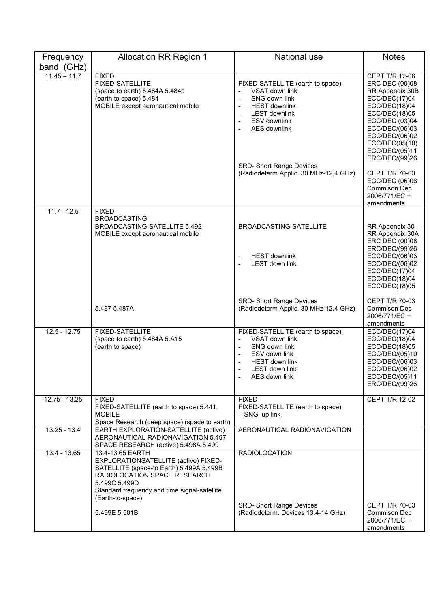| Frequency       | <b>Allocation RR Region 1</b>                                                                                                                                                                                                              | National use                                                                                                                                                                                                       | <b>Notes</b>                                                                                                                                                                                                        |
|-----------------|--------------------------------------------------------------------------------------------------------------------------------------------------------------------------------------------------------------------------------------------|--------------------------------------------------------------------------------------------------------------------------------------------------------------------------------------------------------------------|---------------------------------------------------------------------------------------------------------------------------------------------------------------------------------------------------------------------|
| band (GHz)      |                                                                                                                                                                                                                                            |                                                                                                                                                                                                                    |                                                                                                                                                                                                                     |
| $11.45 - 11.7$  | <b>FIXED</b><br><b>FIXED-SATELLITE</b><br>(space to earth) 5.484A 5.484b<br>(earth to space) 5.484<br>MOBILE except aeronautical mobile                                                                                                    | FIXED-SATELLITE (earth to space)<br>VSAT down link<br>$\overline{\phantom{m}}$<br>SNG down link<br><b>HEST downlink</b><br><b>LEST downlink</b><br>ESV downlink<br>$\overline{\phantom{a}}$<br><b>AES downlink</b> | CEPT T/R 12-06<br>ERC DEC (00)08<br>RR Appendix 30B<br>ECC/DEC(17)04<br>ECC/DEC(18)04<br>ECC/DEC(18)05<br>ECC/DEC (03)04<br>ECC/DEC/(06)03<br>ECC/DEC/(06)02<br>ECC/DEC(05(10))<br>ECC/DEC/(05)11<br>ERC/DEC/(99)26 |
|                 |                                                                                                                                                                                                                                            | <b>SRD- Short Range Devices</b><br>(Radiodeterm Applic. 30 MHz-12,4 GHz)                                                                                                                                           | <b>CEPT T/R 70-03</b><br>ECC/DEC (06)08<br><b>Commison Dec</b><br>2006/771/EC +<br>amendments                                                                                                                       |
| $11.7 - 12.5$   | <b>FIXED</b>                                                                                                                                                                                                                               |                                                                                                                                                                                                                    |                                                                                                                                                                                                                     |
|                 | <b>BROADCASTING</b><br>BROADCASTING-SATELLITE 5.492<br>MOBILE except aeronautical mobile                                                                                                                                                   | BROADCASTING-SATELLITE<br><b>HEST downlink</b><br>$\overline{\phantom{a}}$<br><b>LEST down link</b>                                                                                                                | RR Appendix 30<br>RR Appendix 30A<br>ERC DEC (00)08<br>ERC/DEC/(99)26<br>ECC/DEC/(06)03<br>ECC/DEC/(06)02<br>ECC/DEC(17)04<br>ECC/DEC(18)04<br>ECC/DEC(18)05                                                        |
|                 | 5.487 5.487A                                                                                                                                                                                                                               | <b>SRD- Short Range Devices</b><br>(Radiodeterm Applic. 30 MHz-12,4 GHz)                                                                                                                                           | CEPT T/R 70-03<br>Commison Dec<br>2006/771/EC +<br>amendments                                                                                                                                                       |
| $12.5 - 12.75$  | <b>FIXED-SATELLITE</b><br>(space to earth) 5.484A 5.A15<br>(earth to space)                                                                                                                                                                | FIXED-SATELLITE (earth to space)<br>VSAT down link<br>SNG down link<br>$\overline{\phantom{a}}$<br>ESV down link<br>$\overline{\phantom{a}}$<br>HEST down link<br>LEST down link<br>ALS down link                  | ECC/DEC(17)04<br>ECC/DEC(18)04<br>ECC/DEC(18)05<br>ECC/DEC/(05)10<br>ECC/DEC/(06)03<br>ECC/DEC/(06)02<br>ECC/DEC/(05)11<br>ERC/DEC/(99)26                                                                           |
| $12.75 - 13.25$ | <b>FIXED</b><br>FIXED-SATELLITE (earth to space) 5.441,<br><b>MOBILE</b><br>Space Research (deep space) (space to earth)                                                                                                                   | <b>FIXED</b><br>FIXED-SATELLITE (earth to space)<br>- SNG up link                                                                                                                                                  | CEPT T/R 12-02                                                                                                                                                                                                      |
| $13.25 - 13.4$  | EARTH EXPLORATION-SATELLITE (active)<br>AERONAUTICAL RADIONAVIGATION 5.497<br>SPACE RESEARCH (active) 5.498A 5.499                                                                                                                         | AERONAUTICAL RADIONAVIGATION                                                                                                                                                                                       |                                                                                                                                                                                                                     |
| 13.4 - 13.65    | 13.4-13.65 EARTH<br>EXPLORATIONSATELLITE (active) FIXED-<br>SATELLITE (space-to Earth) 5.499A 5.499B<br>RADIOLOCATION SPACE RESEARCH<br>5.499C 5.499D<br>Standard frequency and time signal-satellite<br>(Earth-to-space)<br>5.499E 5.501B | <b>RADIOLOCATION</b><br>SRD- Short Range Devices<br>(Radiodeterm. Devices 13.4-14 GHz)                                                                                                                             | <b>CEPT T/R 70-03</b><br>Commison Dec                                                                                                                                                                               |
|                 |                                                                                                                                                                                                                                            |                                                                                                                                                                                                                    | 2006/771/EC +<br>amendments                                                                                                                                                                                         |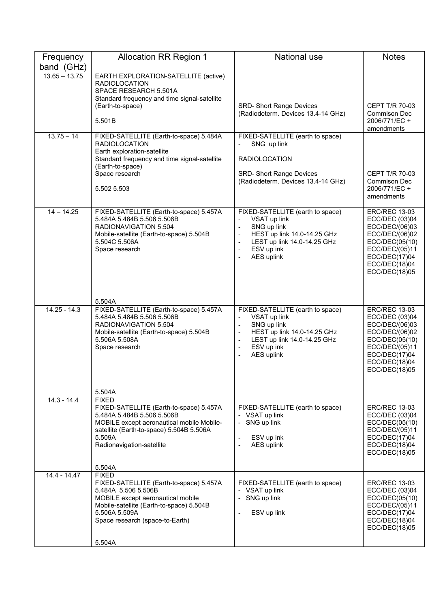| Frequency       | <b>Allocation RR Region 1</b>                                                                                                                                                                                                   | <b>National use</b>                                                                                                                                                                                                                                                                                | <b>Notes</b>                                                                                                                                                      |
|-----------------|---------------------------------------------------------------------------------------------------------------------------------------------------------------------------------------------------------------------------------|----------------------------------------------------------------------------------------------------------------------------------------------------------------------------------------------------------------------------------------------------------------------------------------------------|-------------------------------------------------------------------------------------------------------------------------------------------------------------------|
| band (GHz)      |                                                                                                                                                                                                                                 |                                                                                                                                                                                                                                                                                                    |                                                                                                                                                                   |
| $13.65 - 13.75$ | EARTH EXPLORATION-SATELLITE (active)<br><b>RADIOLOCATION</b><br>SPACE RESEARCH 5.501A<br>Standard frequency and time signal-satellite<br>(Earth-to-space)                                                                       | <b>SRD- Short Range Devices</b><br>(Radiodeterm. Devices 13.4-14 GHz)                                                                                                                                                                                                                              | CEPT T/R 70-03<br>Commison Dec                                                                                                                                    |
|                 | 5.501B                                                                                                                                                                                                                          |                                                                                                                                                                                                                                                                                                    | 2006/771/EC +<br>amendments                                                                                                                                       |
| $13.75 - 14$    | FIXED-SATELLITE (Earth-to-space) 5.484A<br><b>RADIOLOCATION</b><br>Earth exploration-satellite<br>Standard frequency and time signal-satellite<br>(Earth-to-space)<br>Space research<br>5.502 5.503                             | FIXED-SATELLITE (earth to space)<br>SNG up link<br><b>RADIOLOCATION</b><br><b>SRD- Short Range Devices</b><br>(Radiodeterm. Devices 13.4-14 GHz)                                                                                                                                                   | <b>CEPT T/R 70-03</b><br>Commison Dec<br>2006/771/EC +<br>amendments                                                                                              |
| $14 - 14.25$    | FIXED-SATELLITE (Earth-to-space) 5.457A<br>5.484A 5.484B 5.506 5.506B<br>RADIONAVIGATION 5.504<br>Mobile-satellite (Earth-to-space) 5.504B<br>5.504C 5.506A<br>Space research<br>5.504A                                         | FIXED-SATELLITE (earth to space)<br>VSAT up link<br>SNG up link<br>$\overline{\phantom{a}}$<br>HEST up link 14.0-14.25 GHz<br>$\overline{\phantom{a}}$<br>LEST up link 14.0-14.25 GHz<br>$\overline{\phantom{a}}$<br>ESV up ink<br>$\overline{\phantom{a}}$<br>AES uplink                          | <b>ERC/REC 13-03</b><br>ECC/DEC (03)04<br>ECC/DEC/(06)03<br>ECC/DEC/(06)02<br>ECC/DEC(05(10)<br>ECC/DEC/(05)11<br>ECC/DEC(17)04<br>ECC/DEC(18)04<br>ECC/DEC(18)05 |
| $14.25 - 14.3$  | FIXED-SATELLITE (Earth-to-space) 5.457A<br>5.484A 5.484B 5.506 5.506B<br>RADIONAVIGATION 5.504<br>Mobile-satellite (Earth-to-space) 5.504B<br>5.506A 5.508A<br>Space research<br>5.504A                                         | FIXED-SATELLITE (earth to space)<br>VSAT up link<br>$\overline{a}$<br>SNG up link<br>$\overline{\phantom{a}}$<br>HEST up link 14.0-14.25 GHz<br>$\overline{\phantom{a}}$<br>LEST up link 14.0-14.25 GHz<br>ESV up ink<br>$\overline{\phantom{a}}$<br><b>AES uplink</b><br>$\overline{\phantom{a}}$ | <b>ERC/REC 13-03</b><br>ECC/DEC (03)04<br>ECC/DEC/(06)03<br>ECC/DEC/(06)02<br>ECC/DEC(05(10)<br>ECC/DEC/(05)11<br>ECC/DEC(17)04<br>ECC/DEC(18)04<br>ECC/DEC(18)05 |
| $14.3 - 14.4$   | <b>FIXED</b><br>FIXED-SATELLITE (Earth-to-space) 5.457A<br>5.484A 5.484B 5.506 5.506B<br>MOBILE except aeronautical mobile Mobile-<br>satellite (Earth-to-space) 5.504B 5.506A<br>5.509A<br>Radionavigation-satellite<br>5.504A | FIXED-SATELLITE (earth to space)<br>- VSAT up link<br>SNG up link<br>ESV up ink<br>$\overline{\phantom{a}}$<br><b>AES uplink</b><br>$\overline{a}$                                                                                                                                                 | <b>ERC/REC 13-03</b><br>ECC/DEC (03)04<br>ECC/DEC(05(10)<br>ECC/DEC/(05)11<br>ECC/DEC(17)04<br>ECC/DEC(18)04<br>ECC/DEC(18)05                                     |
| 14.4 - 14.47    | <b>FIXED</b><br>FIXED-SATELLITE (Earth-to-space) 5.457A<br>5.484A 5.506 5.506B<br>MOBILE except aeronautical mobile<br>Mobile-satellite (Earth-to-space) 5.504B<br>5.506A 5.509A<br>Space research (space-to-Earth)<br>5.504A   | FIXED-SATELLITE (earth to space)<br>VSAT up link<br>$\overline{\phantom{0}}$<br>SNG up link<br>$\overline{\phantom{0}}$<br>ESV up link<br>$\overline{a}$                                                                                                                                           | <b>ERC/REC 13-03</b><br>ECC/DEC (03)04<br>ECC/DEC(05(10)<br>ECC/DEC/(05)11<br>ECC/DEC(17)04<br>ECC/DEC(18)04<br>ECC/DEC(18)05                                     |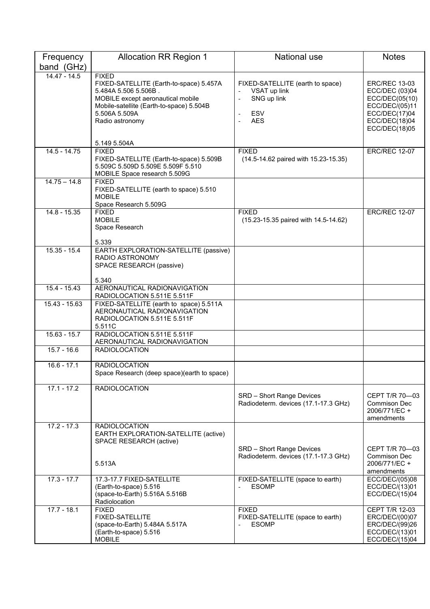| Frequency       | <b>Allocation RR Region 1</b>                                                                                                                                                                                        | <b>National use</b>                                                                               | <b>Notes</b>                                                                                                                  |
|-----------------|----------------------------------------------------------------------------------------------------------------------------------------------------------------------------------------------------------------------|---------------------------------------------------------------------------------------------------|-------------------------------------------------------------------------------------------------------------------------------|
| band (GHz)      |                                                                                                                                                                                                                      |                                                                                                   |                                                                                                                               |
| $14.47 - 14.5$  | <b>FIXED</b><br>FIXED-SATELLITE (Earth-to-space) 5.457A<br>5.484A 5.506 5.506B.<br>MOBILE except aeronautical mobile<br>Mobile-satellite (Earth-to-space) 5.504B<br>5.506A 5.509A<br>Radio astronomy<br>5.149 5.504A | FIXED-SATELLITE (earth to space)<br>VSAT up link<br>SNG up link<br><b>ESV</b><br><b>AES</b><br>÷, | <b>ERC/REC 13-03</b><br>ECC/DEC (03)04<br>ECC/DEC(05(10)<br>ECC/DEC/(05)11<br>ECC/DEC(17)04<br>ECC/DEC(18)04<br>ECC/DEC(18)05 |
| $14.5 - 14.75$  | <b>FIXED</b>                                                                                                                                                                                                         | <b>FIXED</b>                                                                                      | <b>ERC/REC 12-07</b>                                                                                                          |
|                 | FIXED-SATELLITE (Earth-to-space) 5.509B<br>5.509C 5.509D 5.509E 5.509F 5.510<br>MOBILE Space research 5.509G                                                                                                         | (14.5-14.62 paired with 15.23-15.35)                                                              |                                                                                                                               |
| $14.75 - 14.8$  | <b>FIXED</b><br>FIXED-SATELLITE (earth to space) 5.510<br><b>MOBILE</b><br>Space Research 5.509G                                                                                                                     |                                                                                                   |                                                                                                                               |
| $14.8 - 15.35$  | <b>FIXED</b><br><b>MOBILE</b><br>Space Research<br>5.339                                                                                                                                                             | <b>FIXED</b><br>(15.23-15.35 paired with 14.5-14.62)                                              | <b>ERC/REC 12-07</b>                                                                                                          |
| $15.35 - 15.4$  | EARTH EXPLORATION-SATELLITE (passive)<br><b>RADIO ASTRONOMY</b><br>SPACE RESEARCH (passive)<br>5.340                                                                                                                 |                                                                                                   |                                                                                                                               |
| $15.4 - 15.43$  | AERONAUTICAL RADIONAVIGATION<br>RADIOLOCATION 5.511E 5.511F                                                                                                                                                          |                                                                                                   |                                                                                                                               |
| $15.43 - 15.63$ | FIXED-SATELLITE (earth to space) 5.511A<br>AERONAUTICAL RADIONAVIGATION<br>RADIOLOCATION 5.511E 5.511F<br>5.511C                                                                                                     |                                                                                                   |                                                                                                                               |
| $15.63 - 15.7$  | RADIOLOCATION 5.511E 5.511F<br>AERONAUTICAL RADIONAVIGATION                                                                                                                                                          |                                                                                                   |                                                                                                                               |
| $15.7 - 16.6$   | <b>RADIOLOCATION</b>                                                                                                                                                                                                 |                                                                                                   |                                                                                                                               |
| $16.6 - 17.1$   | <b>RADIOLOCATION</b><br>Space Research (deep space)(earth to space)                                                                                                                                                  |                                                                                                   |                                                                                                                               |
| $17.1 - 17.2$   | <b>RADIOLOCATION</b>                                                                                                                                                                                                 | SRD - Short Range Devices<br>Radiodeterm. devices (17.1-17.3 GHz)                                 | CEPT T/R 70-03<br>Commison Dec<br>2006/771/EC +<br>amendments                                                                 |
| $17.2 - 17.3$   | <b>RADIOLOCATION</b><br>EARTH EXPLORATION-SATELLITE (active)<br>SPACE RESEARCH (active)                                                                                                                              |                                                                                                   |                                                                                                                               |
|                 | 5.513A                                                                                                                                                                                                               | SRD - Short Range Devices<br>Radiodeterm. devices (17.1-17.3 GHz)                                 | CEPT T/R 70-03<br>Commison Dec<br>2006/771/EC +<br>amendments                                                                 |
| $17.3 - 17.7$   | 17.3-17.7 FIXED-SATELLITE<br>(Earth-to-space) 5.516<br>(space-to-Earth) 5.516A 5.516B<br>Radiolocation                                                                                                               | FIXED-SATELLITE (space to earth)<br><b>ESOMP</b>                                                  | ECC/DEC/(05)08<br>ECC/DEC/(13)01<br>ECC/DEC/(15)04                                                                            |
| $17.7 - 18.1$   | <b>FIXED</b><br>FIXED-SATELLITE<br>(space-to-Earth) 5.484A 5.517A<br>(Earth-to-space) 5.516<br><b>MOBILE</b>                                                                                                         | <b>FIXED</b><br>FIXED-SATELLITE (space to earth)<br><b>ESOMP</b>                                  | <b>CEPT T/R 12-03</b><br>ERC/DEC/(00)07<br>ERC/DEC/(99)26<br>ECC/DEC/(13)01<br>ECC/DEC/(15)04                                 |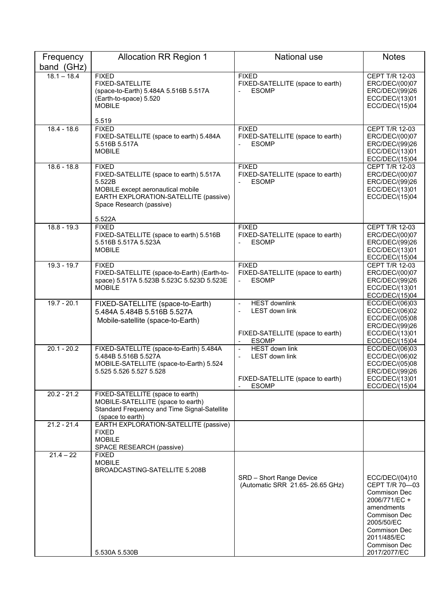| Frequency<br>band (GHz) | <b>Allocation RR Region 1</b>                                                                                                                                                         | <b>National use</b>                                                                                                    | <b>Notes</b>                                                                                                                                                                               |
|-------------------------|---------------------------------------------------------------------------------------------------------------------------------------------------------------------------------------|------------------------------------------------------------------------------------------------------------------------|--------------------------------------------------------------------------------------------------------------------------------------------------------------------------------------------|
| $18.1 - 18.4$           | <b>FIXED</b><br>FIXED-SATELLITE<br>(space-to-Earth) 5.484A 5.516B 5.517A<br>(Earth-to-space) 5.520<br><b>MOBILE</b><br>5.519                                                          | <b>FIXED</b><br>FIXED-SATELLITE (space to earth)<br><b>ESOMP</b>                                                       | CEPT T/R 12-03<br>ERC/DEC/(00)07<br>ERC/DEC/(99)26<br>ECC/DEC/(13)01<br>ECC/DEC/(15)04                                                                                                     |
| $18.4 - 18.6$           | <b>FIXED</b><br>FIXED-SATELLITE (space to earth) 5.484A<br>5.516B 5.517A<br><b>MOBILE</b>                                                                                             | <b>FIXED</b><br>FIXED-SATELLITE (space to earth)<br><b>ESOMP</b>                                                       | CEPT T/R 12-03<br>ERC/DEC/(00)07<br>ERC/DEC/(99)26<br>ECC/DEC/(13)01<br>ECC/DEC/(15)04                                                                                                     |
| $18.6 - 18.8$           | <b>FIXED</b><br>FIXED-SATELLITE (space to earth) 5.517A<br>5.522B<br>MOBILE except aeronautical mobile<br>EARTH EXPLORATION-SATELLITE (passive)<br>Space Research (passive)<br>5.522A | <b>FIXED</b><br>FIXED-SATELLITE (space to earth)<br><b>ESOMP</b>                                                       | <b>CEPT T/R 12-03</b><br>ERC/DEC/(00)07<br>ERC/DEC/(99)26<br>ECC/DEC/(13)01<br>ECC/DEC/(15)04                                                                                              |
| $18.8 - 19.3$           | <b>FIXED</b><br>FIXED-SATELLITE (space to earth) 5.516B<br>5.516B 5.517A 5.523A<br><b>MOBILE</b>                                                                                      | <b>FIXED</b><br>FIXED-SATELLITE (space to earth)<br><b>ESOMP</b>                                                       | <b>CEPT T/R 12-03</b><br>ERC/DEC/(00)07<br>ERC/DEC/(99)26<br>ECC/DEC/(13)01<br>ECC/DEC/(15)04                                                                                              |
| $19.3 - 19.7$           | <b>FIXED</b><br>FIXED-SATELLITE (space-to-Earth) (Earth-to-<br>space) 5.517A 5.523B 5.523C 5.523D 5.523E<br><b>MOBILE</b>                                                             | <b>FIXED</b><br>FIXED-SATELLITE (space to earth)<br><b>ESOMP</b>                                                       | <b>CEPT T/R 12-03</b><br>ERC/DEC/(00)07<br>ERC/DEC/(99)26<br>ECC/DEC/(13)01<br>ECC/DEC/(15)04                                                                                              |
| $19.7 - 20.1$           | FIXED-SATELLITE (space-to-Earth)<br>5.484A 5.484B 5.516B 5.527A<br>Mobile-satellite (space-to-Earth)                                                                                  | <b>HEST downlink</b><br>$\overline{\phantom{a}}$<br>LEST down link<br>FIXED-SATELLITE (space to earth)<br><b>ESOMP</b> | ECC/DEC/(06)03<br>ECC/DEC/(06)02<br>ECC/DEC/(05)08<br>ERC/DEC/(99)26<br>ECC/DEC/(13)01<br>ECC/DEC/(15)04                                                                                   |
| $20.1 - 20.2$           | FIXED-SATELLITE (space-to-Earth) 5.484A<br>5.484B 5.516B 5.527A<br>MOBILE-SATELLITE (space-to-Earth) 5.524<br>5.525 5.526 5.527 5.528                                                 | <b>HEST</b> down link<br><b>LEST down link</b><br>$\overline{a}$<br>FIXED-SATELLITE (space to earth)<br><b>ESOMP</b>   | ECC/DEC/(06)03<br>ECC/DEC/(06)02<br>ECC/DEC/(05)08<br>ERC/DEC/(99)26<br>ECC/DEC/(13)01<br>ECC/DEC/(15)04                                                                                   |
| $20.2 - 21.2$           | FIXED-SATELLITE (space to earth)<br>MOBILE-SATELLITE (space to earth)<br>Standard Frequency and Time Signal-Satellite<br>(space to earth)                                             |                                                                                                                        |                                                                                                                                                                                            |
| $21.2 - 21.4$           | EARTH EXPLORATION-SATELLITE (passive)<br><b>FIXED</b><br><b>MOBILE</b><br>SPACE RESEARCH (passive)                                                                                    |                                                                                                                        |                                                                                                                                                                                            |
| $21.4 - 22$             | <b>FIXED</b><br><b>MOBILE</b><br>BROADCASTING-SATELLITE 5.208B<br>5.530A 5.530B                                                                                                       | SRD - Short Range Device<br>(Automatic SRR 21.65-26.65 GHz)                                                            | ECC/DEC/(04)10<br>CEPT T/R 70-03<br><b>Commison Dec</b><br>2006/771/EC +<br>amendments<br>Commison Dec<br>2005/50/EC<br>Commison Dec<br>2011/485/EC<br><b>Commison Dec</b><br>2017/2077/EC |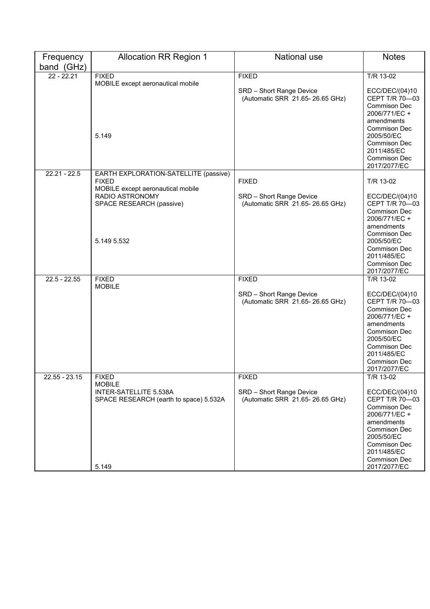| Frequency      | <b>Allocation RR Region 1</b>                         | <b>National use</b>                                         | <b>Notes</b>                                                                                                                                                  |
|----------------|-------------------------------------------------------|-------------------------------------------------------------|---------------------------------------------------------------------------------------------------------------------------------------------------------------|
| band (GHz)     |                                                       |                                                             |                                                                                                                                                               |
| $22 - 22.21$   | <b>FIXED</b>                                          | <b>FIXED</b>                                                | T/R 13-02                                                                                                                                                     |
|                | MOBILE except aeronautical mobile                     | SRD - Short Range Device<br>(Automatic SRR 21.65-26.65 GHz) | ECC/DEC/(04)10<br>CEPT T/R 70-03                                                                                                                              |
|                | 5.149                                                 |                                                             | <b>Commison Dec</b><br>2006/771/EC +<br>amendments<br><b>Commison Dec</b><br>2005/50/EC<br>Commison Dec<br>2011/485/EC<br><b>Commison Dec</b><br>2017/2077/EC |
| $22.21 - 22.5$ | EARTH EXPLORATION-SATELLITE (passive)<br><b>FIXED</b> | <b>FIXED</b>                                                | T/R 13-02                                                                                                                                                     |
|                | MOBILE except aeronautical mobile                     |                                                             |                                                                                                                                                               |
|                | RADIO ASTRONOMY<br>SPACE RESEARCH (passive)           | SRD - Short Range Device<br>(Automatic SRR 21.65-26.65 GHz) | ECC/DEC/(04)10<br>CEPT T/R 70-03                                                                                                                              |
|                |                                                       |                                                             | <b>Commison Dec</b>                                                                                                                                           |
|                |                                                       |                                                             | 2006/771/EC +                                                                                                                                                 |
|                |                                                       |                                                             | amendments<br><b>Commison Dec</b>                                                                                                                             |
|                | 5.149 5.532                                           |                                                             | 2005/50/EC                                                                                                                                                    |
|                |                                                       |                                                             | <b>Commison Dec</b>                                                                                                                                           |
|                |                                                       |                                                             | 2011/485/EC                                                                                                                                                   |
|                |                                                       |                                                             | Commison Dec<br>2017/2077/EC                                                                                                                                  |
| $22.5 - 22.55$ | <b>FIXED</b>                                          | <b>FIXED</b>                                                | T/R 13-02                                                                                                                                                     |
|                | <b>MOBILE</b>                                         |                                                             |                                                                                                                                                               |
|                |                                                       | SRD - Short Range Device                                    | ECC/DEC/(04)10<br>CEPT T/R 70-03                                                                                                                              |
|                |                                                       | (Automatic SRR 21.65-26.65 GHz)                             | <b>Commison Dec</b>                                                                                                                                           |
|                |                                                       |                                                             | 2006/771/EC +                                                                                                                                                 |
|                |                                                       |                                                             | amendments                                                                                                                                                    |
|                |                                                       |                                                             | Commison Dec<br>2005/50/EC                                                                                                                                    |
|                |                                                       |                                                             | Commison Dec                                                                                                                                                  |
|                |                                                       |                                                             | 2011/485/EC                                                                                                                                                   |
|                |                                                       |                                                             | Commison Dec                                                                                                                                                  |
| 22.55 - 23.15  | <b>FIXED</b>                                          | <b>FIXED</b>                                                | 2017/2077/EC<br>T/R 13-02                                                                                                                                     |
|                | <b>MOBILE</b>                                         |                                                             |                                                                                                                                                               |
|                | INTER-SATELLITE 5.538A                                | SRD - Short Range Device                                    | ECC/DEC/(04)10                                                                                                                                                |
|                | SPACE RESEARCH (earth to space) 5.532A                | (Automatic SRR 21.65-26.65 GHz)                             | CEPT T/R 70-03<br><b>Commison Dec</b>                                                                                                                         |
|                |                                                       |                                                             | 2006/771/EC +                                                                                                                                                 |
|                |                                                       |                                                             | amendments                                                                                                                                                    |
|                |                                                       |                                                             | Commison Dec<br>2005/50/EC                                                                                                                                    |
|                |                                                       |                                                             | Commison Dec                                                                                                                                                  |
|                |                                                       |                                                             | 2011/485/EC                                                                                                                                                   |
|                |                                                       |                                                             | Commison Dec                                                                                                                                                  |
|                | 5.149                                                 |                                                             | 2017/2077/EC                                                                                                                                                  |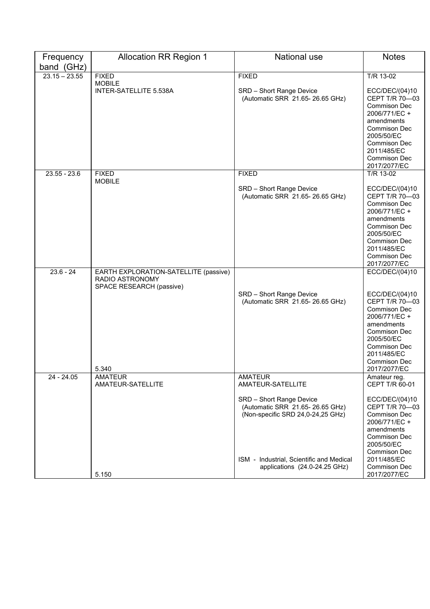| Frequency       | <b>Allocation RR Region 1</b>                        | <b>National use</b>                                                                                                                                                           | <b>Notes</b>                                                                                                                                                                                      |
|-----------------|------------------------------------------------------|-------------------------------------------------------------------------------------------------------------------------------------------------------------------------------|---------------------------------------------------------------------------------------------------------------------------------------------------------------------------------------------------|
| band (GHz)      |                                                      |                                                                                                                                                                               |                                                                                                                                                                                                   |
| $23.15 - 23.55$ | <b>FIXED</b>                                         | <b>FIXED</b>                                                                                                                                                                  | T/R 13-02                                                                                                                                                                                         |
|                 | <b>MOBILE</b><br>INTER-SATELLITE 5.538A              | SRD - Short Range Device<br>(Automatic SRR 21.65-26.65 GHz)                                                                                                                   | ECC/DEC/(04)10<br>CEPT T/R 70-03<br>Commison Dec<br>2006/771/EC +<br>amendments<br>Commison Dec<br>2005/50/EC<br>Commison Dec<br>2011/485/EC<br>Commison Dec<br>2017/2077/EC                      |
| $23.55 - 23.6$  | <b>FIXED</b>                                         | <b>FIXED</b>                                                                                                                                                                  | T/R 13-02                                                                                                                                                                                         |
|                 | <b>MOBILE</b>                                        | SRD - Short Range Device<br>(Automatic SRR 21.65-26.65 GHz)                                                                                                                   | ECC/DEC/(04)10<br>CEPT T/R 70-03<br><b>Commison Dec</b><br>2006/771/EC +<br>amendments<br>Commison Dec<br>2005/50/EC<br>Commison Dec<br>2011/485/EC<br>Commison Dec<br>2017/2077/EC               |
| $23.6 - 24$     | EARTH EXPLORATION-SATELLITE (passive)                |                                                                                                                                                                               | ECC/DEC/(04)10                                                                                                                                                                                    |
|                 | RADIO ASTRONOMY<br>SPACE RESEARCH (passive)<br>5.340 | SRD - Short Range Device<br>(Automatic SRR 21.65-26.65 GHz)                                                                                                                   | ECC/DEC/(04)10<br>CEPT T/R 70-03<br><b>Commison Dec</b><br>2006/771/EC +<br>amendments<br><b>Commison Dec</b><br>2005/50/EC<br>Commison Dec<br>2011/485/EC<br><b>Commison Dec</b><br>2017/2077/EC |
| 24 - 24.05      | <b>AMATEUR</b><br>AMATEUR-SATELLITE                  | <b>AMATEUR</b><br>AMATEUR-SATELLITE                                                                                                                                           | Amateur reg.<br>CEPT T/R 60-01                                                                                                                                                                    |
|                 |                                                      | SRD - Short Range Device<br>(Automatic SRR 21.65-26.65 GHz)<br>(Non-specific SRD 24,0-24,25 GHz)<br>ISM - Industrial, Scientific and Medical<br>applications (24.0-24.25 GHz) | ECC/DEC/(04)10<br>CEPT T/R 70-03<br>Commison Dec<br>2006/771/EC +<br>amendments<br>Commison Dec<br>2005/50/EC<br>Commison Dec<br>2011/485/EC<br>Commison Dec                                      |
|                 | 5.150                                                |                                                                                                                                                                               | 2017/2077/EC                                                                                                                                                                                      |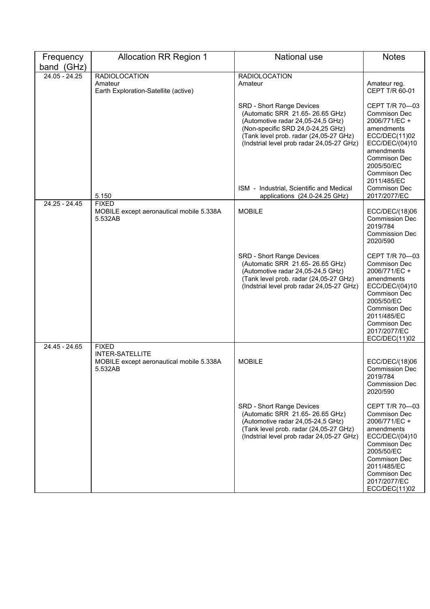| Frequency       | <b>Allocation RR Region 1</b>                       | <b>National use</b>                                                                                                                                                                                                                                                                                        | <b>Notes</b>                                                                                                                                                                                                              |
|-----------------|-----------------------------------------------------|------------------------------------------------------------------------------------------------------------------------------------------------------------------------------------------------------------------------------------------------------------------------------------------------------------|---------------------------------------------------------------------------------------------------------------------------------------------------------------------------------------------------------------------------|
| band (GHz)      |                                                     |                                                                                                                                                                                                                                                                                                            |                                                                                                                                                                                                                           |
| $24.05 - 24.25$ | <b>RADIOLOCATION</b>                                | <b>RADIOLOCATION</b>                                                                                                                                                                                                                                                                                       |                                                                                                                                                                                                                           |
|                 | Amateur<br>Earth Exploration-Satellite (active)     | Amateur                                                                                                                                                                                                                                                                                                    | Amateur reg.<br>CEPT T/R 60-01                                                                                                                                                                                            |
|                 | 5.150                                               | SRD - Short Range Devices<br>(Automatic SRR 21.65-26.65 GHz)<br>(Automotive radar 24,05-24,5 GHz)<br>(Non-specific SRD 24,0-24,25 GHz)<br>(Tank level prob. radar (24,05-27 GHz)<br>(Indstrial level prob radar 24,05-27 GHz)<br>ISM - Industrial, Scientific and Medical<br>applications (24.0-24.25 GHz) | CEPT T/R 70-03<br><b>Commison Dec</b><br>2006/771/EC +<br>amendments<br>ECC/DEC(11)02<br>ECC/DEC/(04)10<br>amendments<br><b>Commison Dec</b><br>2005/50/EC<br>Commison Dec<br>2011/485/EC<br>Commison Dec<br>2017/2077/EC |
| 24.25 - 24.45   | <b>FIXED</b>                                        | <b>MOBILE</b>                                                                                                                                                                                                                                                                                              |                                                                                                                                                                                                                           |
|                 | MOBILE except aeronautical mobile 5.338A<br>5.532AB |                                                                                                                                                                                                                                                                                                            | ECC/DEC/(18)06<br><b>Commission Dec</b><br>2019/784<br><b>Commission Dec</b><br>2020/590                                                                                                                                  |
|                 |                                                     | SRD - Short Range Devices<br>(Automatic SRR 21.65-26.65 GHz)<br>(Automotive radar 24,05-24,5 GHz)<br>(Tank level prob. radar (24,05-27 GHz)<br>(Indstrial level prob radar 24,05-27 GHz)                                                                                                                   | CEPT T/R 70-03<br>Commison Dec<br>2006/771/EC +<br>amendments<br>ECC/DEC/(04)10<br>Commison Dec<br>2005/50/EC<br><b>Commison Dec</b><br>2011/485/EC<br>Commison Dec<br>2017/2077/EC<br>ECC/DEC(11)02                      |
| 24.45 - 24.65   | <b>FIXED</b><br><b>INTER-SATELLITE</b>              |                                                                                                                                                                                                                                                                                                            |                                                                                                                                                                                                                           |
|                 | MOBILE except aeronautical mobile 5.338A<br>5.532AB | <b>MOBILE</b>                                                                                                                                                                                                                                                                                              | ECC/DEC/(18)06<br><b>Commission Dec</b><br>2019/784<br><b>Commission Dec</b><br>2020/590                                                                                                                                  |
|                 |                                                     | SRD - Short Range Devices<br>(Automatic SRR 21.65-26.65 GHz)<br>(Automotive radar 24,05-24,5 GHz)<br>(Tank level prob. radar (24,05-27 GHz)<br>(Indstrial level prob radar 24,05-27 GHz)                                                                                                                   | CEPT T/R 70-03<br>Commison Dec<br>2006/771/EC +<br>amendments<br>ECC/DEC/(04)10<br>Commison Dec<br>2005/50/EC<br>Commison Dec<br>2011/485/EC<br>Commison Dec<br>2017/2077/EC<br>ECC/DEC(11)02                             |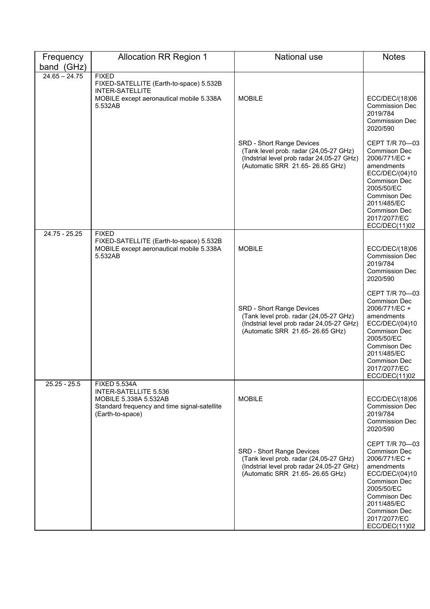| Frequency<br>band (GHz) | <b>Allocation RR Region 1</b>                                                                                                             | <b>National use</b>                                                                                                                                 | <b>Notes</b>                                                                                                                                                                                                       |
|-------------------------|-------------------------------------------------------------------------------------------------------------------------------------------|-----------------------------------------------------------------------------------------------------------------------------------------------------|--------------------------------------------------------------------------------------------------------------------------------------------------------------------------------------------------------------------|
| $24.65 - 24.75$         | <b>FIXED</b><br>FIXED-SATELLITE (Earth-to-space) 5.532B                                                                                   |                                                                                                                                                     |                                                                                                                                                                                                                    |
|                         | <b>INTER-SATELLITE</b><br>MOBILE except aeronautical mobile 5.338A<br>5.532AB                                                             | <b>MOBILE</b>                                                                                                                                       | ECC/DEC/(18)06<br><b>Commission Dec</b><br>2019/784<br><b>Commission Dec</b><br>2020/590                                                                                                                           |
|                         |                                                                                                                                           | SRD - Short Range Devices<br>(Tank level prob. radar (24,05-27 GHz)<br>(Indstrial level prob radar 24,05-27 GHz)<br>(Automatic SRR 21.65-26.65 GHz) | CEPT T/R 70-03<br>Commison Dec<br>2006/771/EC +<br>amendments<br>ECC/DEC/(04)10<br><b>Commison Dec</b><br>2005/50/EC<br><b>Commison Dec</b><br>2011/485/EC<br><b>Commison Dec</b><br>2017/2077/EC<br>ECC/DEC(11)02 |
| 24.75 - 25.25           | <b>FIXED</b><br>FIXED-SATELLITE (Earth-to-space) 5.532B<br>MOBILE except aeronautical mobile 5.338A<br>5.532AB                            | <b>MOBILE</b>                                                                                                                                       | ECC/DEC/(18)06<br><b>Commission Dec</b><br>2019/784<br><b>Commission Dec</b><br>2020/590                                                                                                                           |
|                         |                                                                                                                                           | SRD - Short Range Devices<br>(Tank level prob. radar (24,05-27 GHz)<br>(Indstrial level prob radar 24,05-27 GHz)<br>(Automatic SRR 21.65-26.65 GHz) | CEPT T/R 70-03<br><b>Commison Dec</b><br>2006/771/EC +<br>amendments<br>ECC/DEC/(04)10<br>Commison Dec<br>2005/50/EC<br><b>Commison Dec</b><br>2011/485/EC<br>Commison Dec<br>2017/2077/EC<br>ECC/DEC(11)02        |
| $25.25 - 25.5$          | <b>FIXED 5.534A</b><br>INTER-SATELLITE 5.536<br>MOBILE 5.338A 5.532AB<br>Standard frequency and time signal-satellite<br>(Earth-to-space) | <b>MOBILE</b>                                                                                                                                       | ECC/DEC/(18)06<br><b>Commission Dec</b><br>2019/784<br><b>Commission Dec</b><br>2020/590                                                                                                                           |
|                         |                                                                                                                                           | SRD - Short Range Devices<br>(Tank level prob. radar (24,05-27 GHz)<br>(Indstrial level prob radar 24,05-27 GHz)<br>(Automatic SRR 21.65-26.65 GHz) | CEPT T/R 70-03<br><b>Commison Dec</b><br>2006/771/EC +<br>amendments<br>ECC/DEC/(04)10<br><b>Commison Dec</b><br>2005/50/EC<br>Commison Dec<br>2011/485/EC<br>Commison Dec<br>2017/2077/EC<br>ECC/DEC(11)02        |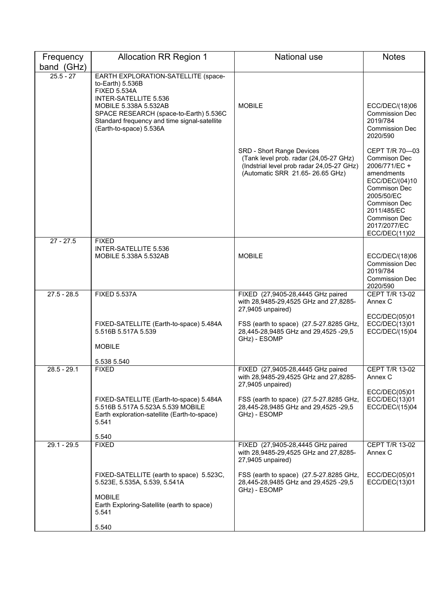| Frequency<br>band (GHz) | <b>Allocation RR Region 1</b>                                                                                                                                                                                                                         | National use                                                                                                                                        | <b>Notes</b>                                                                                                                                                                                                       |
|-------------------------|-------------------------------------------------------------------------------------------------------------------------------------------------------------------------------------------------------------------------------------------------------|-----------------------------------------------------------------------------------------------------------------------------------------------------|--------------------------------------------------------------------------------------------------------------------------------------------------------------------------------------------------------------------|
| $25.5 - 27$             | EARTH EXPLORATION-SATELLITE (space-<br>to-Earth) 5.536B<br><b>FIXED 5.534A</b><br>INTER-SATELLITE 5.536<br>MOBILE 5.338A 5.532AB<br>SPACE RESEARCH (space-to-Earth) 5.536C<br>Standard frequency and time signal-satellite<br>(Earth-to-space) 5.536A | <b>MOBILE</b>                                                                                                                                       | ECC/DEC/(18)06<br><b>Commission Dec</b><br>2019/784<br><b>Commission Dec</b><br>2020/590                                                                                                                           |
|                         |                                                                                                                                                                                                                                                       | SRD - Short Range Devices<br>(Tank level prob. radar (24,05-27 GHz)<br>(Indstrial level prob radar 24,05-27 GHz)<br>(Automatic SRR 21.65-26.65 GHz) | CEPT T/R 70-03<br><b>Commison Dec</b><br>2006/771/EC +<br>amendments<br>ECC/DEC/(04)10<br><b>Commison Dec</b><br>2005/50/EC<br>Commison Dec<br>2011/485/EC<br><b>Commison Dec</b><br>2017/2077/EC<br>ECC/DEC(11)02 |
| $27 - 27.5$             | <b>FIXED</b><br>INTER-SATELLITE 5.536<br>MOBILE 5.338A 5.532AB                                                                                                                                                                                        | <b>MOBILE</b>                                                                                                                                       | ECC/DEC/(18)06<br><b>Commission Dec</b><br>2019/784<br><b>Commission Dec</b><br>2020/590                                                                                                                           |
| $27.5 - 28.5$           | <b>FIXED 5.537A</b>                                                                                                                                                                                                                                   | FIXED (27,9405-28,4445 GHz paired<br>with 28,9485-29,4525 GHz and 27,8285-<br>27,9405 unpaired)                                                     | CEPT T/R 13-02<br>Annex C                                                                                                                                                                                          |
|                         | FIXED-SATELLITE (Earth-to-space) 5.484A<br>5.516B 5.517A 5.539<br><b>MOBILE</b>                                                                                                                                                                       | FSS (earth to space) (27.5-27.8285 GHz,<br>28,445-28,9485 GHz and 29,4525 -29,5<br>GHz) - ESOMP                                                     | ECC/DEC(05)01<br>ECC/DEC(13)01<br>ECC/DEC/(15)04                                                                                                                                                                   |
|                         | 5.538 5.540                                                                                                                                                                                                                                           |                                                                                                                                                     |                                                                                                                                                                                                                    |
| $28.5 - 29.1$           | <b>FIXED</b>                                                                                                                                                                                                                                          | FIXED (27,9405-28,4445 GHz paired<br>with 28,9485-29,4525 GHz and 27,8285-<br>27,9405 unpaired)                                                     | CEPT T/R 13-02<br>Annex C                                                                                                                                                                                          |
|                         | FIXED-SATELLITE (Earth-to-space) 5.484A<br>5.516B 5.517A 5.523A 5.539 MOBILE<br>Earth exploration-satellite (Earth-to-space)<br>5.541                                                                                                                 | FSS (earth to space) (27.5-27.8285 GHz,<br>28,445-28,9485 GHz and 29,4525 -29,5<br>GHz) - ESOMP                                                     | ECC/DEC(05)01<br>ECC/DEC(13)01<br>ECC/DEC/(15)04                                                                                                                                                                   |
|                         | 5.540                                                                                                                                                                                                                                                 |                                                                                                                                                     |                                                                                                                                                                                                                    |
| $29.1 - 29.5$           | <b>FIXED</b>                                                                                                                                                                                                                                          | FIXED (27,9405-28,4445 GHz paired<br>with 28,9485-29,4525 GHz and 27,8285-<br>27,9405 unpaired)                                                     | CEPT T/R 13-02<br>Annex C                                                                                                                                                                                          |
|                         | FIXED-SATELLITE (earth to space) 5.523C,<br>5.523E, 5.535A, 5.539, 5.541A                                                                                                                                                                             | FSS (earth to space) (27.5-27.8285 GHz,<br>28,445-28,9485 GHz and 29,4525 -29,5<br>GHz) - ESOMP                                                     | ECC/DEC(05)01<br>ECC/DEC(13)01                                                                                                                                                                                     |
|                         | <b>MOBILE</b><br>Earth Exploring-Satellite (earth to space)<br>5.541                                                                                                                                                                                  |                                                                                                                                                     |                                                                                                                                                                                                                    |
|                         | 5.540                                                                                                                                                                                                                                                 |                                                                                                                                                     |                                                                                                                                                                                                                    |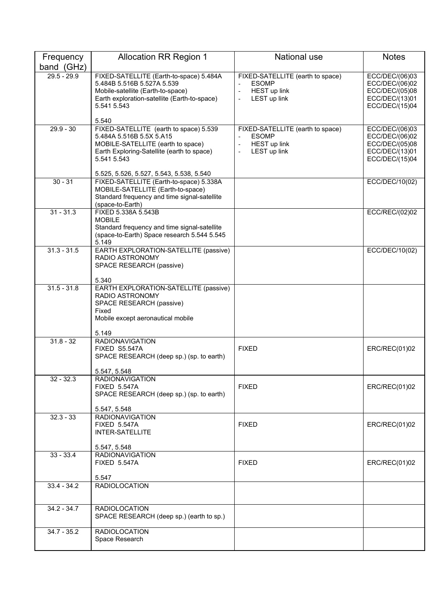| Frequency     | <b>Allocation RR Region 1</b>                                                                                                                                                                                             | <b>National use</b>                                                                                                                             | <b>Notes</b>                                                                           |
|---------------|---------------------------------------------------------------------------------------------------------------------------------------------------------------------------------------------------------------------------|-------------------------------------------------------------------------------------------------------------------------------------------------|----------------------------------------------------------------------------------------|
| band (GHz)    |                                                                                                                                                                                                                           |                                                                                                                                                 |                                                                                        |
| $29.5 - 29.9$ | FIXED-SATELLITE (Earth-to-space) 5.484A<br>5.484B 5.516B 5.527A 5.539<br>Mobile-satellite (Earth-to-space)<br>Earth exploration-satellite (Earth-to-space)<br>5.541 5.543                                                 | FIXED-SATELLITE (earth to space)<br><b>ESOMP</b><br>HEST up link<br>$\bar{\phantom{a}}$<br>LEST up link<br>$\overline{\phantom{a}}$             | ECC/DEC/(06)03<br>ECC/DEC/(06)02<br>ECC/DEC/(05)08<br>ECC/DEC/(13)01<br>ECC/DEC/(15)04 |
| $29.9 - 30$   | 5.540<br>FIXED-SATELLITE (earth to space) 5.539<br>5.484A 5.516B 5.5X 5.A15<br>MOBILE-SATELLITE (earth to space)<br>Earth Exploring-Satellite (earth to space)<br>5.541 5.543<br>5.525, 5.526, 5.527, 5.543, 5.538, 5.540 | FIXED-SATELLITE (earth to space)<br><b>ESOMP</b><br><b>HEST up link</b><br>$\overline{\phantom{m}}$<br>LEST up link<br>$\overline{\phantom{a}}$ | ECC/DEC/(06)03<br>ECC/DEC/(06)02<br>ECC/DEC/(05)08<br>ECC/DEC/(13)01<br>ECC/DEC/(15)04 |
| $30 - 31$     | FIXED-SATELLITE (Earth-to-space) 5.338A<br>MOBILE-SATELLITE (Earth-to-space)<br>Standard frequency and time signal-satellite<br>(space-to-Earth)                                                                          |                                                                                                                                                 | ECC/DEC/10(02)                                                                         |
| $31 - 31.3$   | FIXED 5.338A 5.543B<br><b>MOBILE</b><br>Standard frequency and time signal-satellite<br>(space-to-Earth) Space research 5.544 5.545<br>5.149                                                                              |                                                                                                                                                 | ECC/REC/(02)02                                                                         |
| $31.3 - 31.5$ | EARTH EXPLORATION-SATELLITE (passive)<br><b>RADIO ASTRONOMY</b><br>SPACE RESEARCH (passive)<br>5.340                                                                                                                      |                                                                                                                                                 | ECC/DEC/10(02)                                                                         |
| $31.5 - 31.8$ | EARTH EXPLORATION-SATELLITE (passive)<br>RADIO ASTRONOMY<br>SPACE RESEARCH (passive)<br>Fixed<br>Mobile except aeronautical mobile<br>5.149                                                                               |                                                                                                                                                 |                                                                                        |
| $31.8 - 32$   | <b>RADIONAVIGATION</b><br>FIXED S5.547A<br>SPACE RESEARCH (deep sp.) (sp. to earth)                                                                                                                                       | <b>FIXED</b>                                                                                                                                    | ERC/REC(01)02                                                                          |
| $32 - 32.3$   | 5.547, 5.548<br><b>RADIONAVIGATION</b><br><b>FIXED 5.547A</b><br>SPACE RESEARCH (deep sp.) (sp. to earth)<br>5.547, 5.548                                                                                                 | <b>FIXED</b>                                                                                                                                    | ERC/REC(01)02                                                                          |
| $32.3 - 33$   | <b>RADIONAVIGATION</b><br><b>FIXED 5.547A</b><br><b>INTER-SATELLITE</b><br>5.547, 5.548                                                                                                                                   | <b>FIXED</b>                                                                                                                                    | ERC/REC(01)02                                                                          |
| $33 - 33.4$   | <b>RADIONAVIGATION</b><br><b>FIXED 5.547A</b><br>5.547                                                                                                                                                                    | <b>FIXED</b>                                                                                                                                    | ERC/REC(01)02                                                                          |
| $33.4 - 34.2$ | <b>RADIOLOCATION</b>                                                                                                                                                                                                      |                                                                                                                                                 |                                                                                        |
| $34.2 - 34.7$ | <b>RADIOLOCATION</b><br>SPACE RESEARCH (deep sp.) (earth to sp.)                                                                                                                                                          |                                                                                                                                                 |                                                                                        |
| $34.7 - 35.2$ | <b>RADIOLOCATION</b><br>Space Research                                                                                                                                                                                    |                                                                                                                                                 |                                                                                        |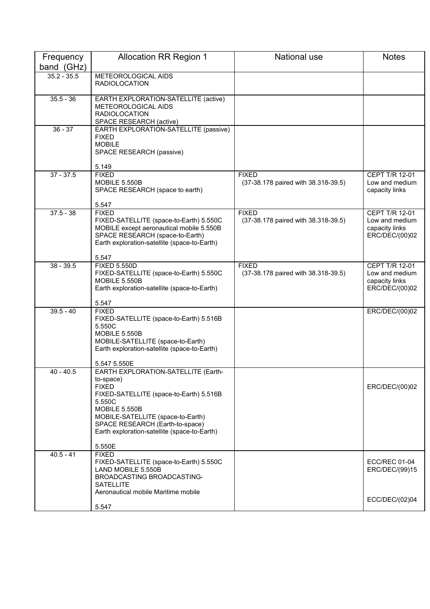| Frequency<br>band (GHz) | <b>Allocation RR Region 1</b>                                                                                                                                                                                                                                            | National use                                        | <b>Notes</b>                                                                |
|-------------------------|--------------------------------------------------------------------------------------------------------------------------------------------------------------------------------------------------------------------------------------------------------------------------|-----------------------------------------------------|-----------------------------------------------------------------------------|
| $35.2 - 35.5$           | METEOROLOGICAL AIDS<br><b>RADIOLOCATION</b>                                                                                                                                                                                                                              |                                                     |                                                                             |
| $35.5 - 36$             | EARTH EXPLORATION-SATELLITE (active)<br>METEOROLOGICAL AIDS<br><b>RADIOLOCATION</b><br>SPACE RESEARCH (active)                                                                                                                                                           |                                                     |                                                                             |
| $36 - 37$               | EARTH EXPLORATION-SATELLITE (passive)<br><b>FIXED</b><br><b>MOBILE</b><br>SPACE RESEARCH (passive)<br>5.149                                                                                                                                                              |                                                     |                                                                             |
| $37 - 37.5$             | <b>FIXED</b><br>MOBILE 5.550B<br>SPACE RESEARCH (space to earth)<br>5.547                                                                                                                                                                                                | <b>FIXED</b><br>(37-38.178 paired with 38.318-39.5) | CEPT T/R 12-01<br>Low and medium<br>capacity links                          |
| $37.5 - 38$             | <b>FIXED</b><br>FIXED-SATELLITE (space-to-Earth) 5.550C<br>MOBILE except aeronautical mobile 5.550B<br>SPACE RESEARCH (space-to-Earth)<br>Earth exploration-satellite (space-to-Earth)<br>5.547                                                                          | <b>FIXED</b><br>(37-38.178 paired with 38.318-39.5) | <b>CEPT T/R 12-01</b><br>Low and medium<br>capacity links<br>ERC/DEC/(00)02 |
| $38 - 39.5$             | <b>FIXED 5.550D</b><br>FIXED-SATELLITE (space-to-Earth) 5.550C<br>MOBILE 5.550B<br>Earth exploration-satellite (space-to-Earth)<br>5.547                                                                                                                                 | <b>FIXED</b><br>(37-38.178 paired with 38.318-39.5) | CEPT T/R 12-01<br>Low and medium<br>capacity links<br>ERC/DEC/(00)02        |
| $39.5 - 40$             | <b>FIXED</b><br>FIXED-SATELLITE (space-to-Earth) 5.516B<br>5.550C<br>MOBILE 5.550B<br>MOBILE-SATELLITE (space-to-Earth)<br>Earth exploration-satellite (space-to-Earth)<br>5.547 5.550E                                                                                  |                                                     | ERC/DEC/(00)02                                                              |
| $40 - 40.5$             | EARTH EXPLORATION-SATELLITE (Earth-<br>to-space)<br><b>FIXED</b><br>FIXED-SATELLITE (space-to-Earth) 5.516B<br>5.550C<br>MOBILE 5.550B<br>MOBILE-SATELLITE (space-to-Earth)<br>SPACE RESEARCH (Earth-to-space)<br>Earth exploration-satellite (space-to-Earth)<br>5.550E |                                                     | ERC/DEC/(00)02                                                              |
| $40.5 - 41$             | <b>FIXED</b><br>FIXED-SATELLITE (space-to-Earth) 5.550C<br>LAND MOBILE 5.550B<br>BROADCASTING BROADCASTING-<br><b>SATELLITE</b>                                                                                                                                          |                                                     | <b>ECC/REC 01-04</b><br>ERC/DEC/(99)15                                      |
|                         | Aeronautical mobile Maritime mobile<br>5.547                                                                                                                                                                                                                             |                                                     | ECC/DEC/(02)04                                                              |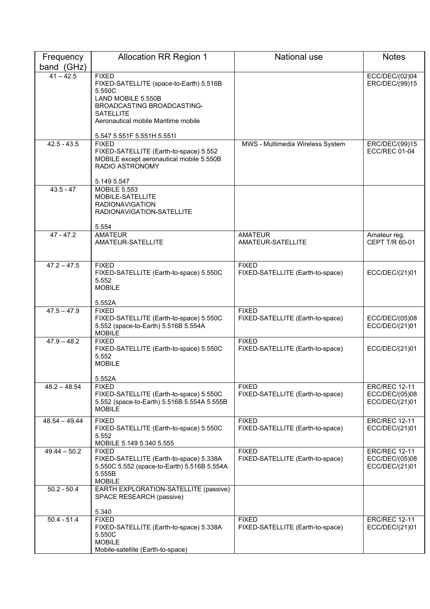| Frequency       | <b>Allocation RR Region 1</b>                                                                                                     | <b>National use</b>                              | <b>Notes</b>                                             |
|-----------------|-----------------------------------------------------------------------------------------------------------------------------------|--------------------------------------------------|----------------------------------------------------------|
| band (GHz)      |                                                                                                                                   |                                                  |                                                          |
| $41 - 42.5$     | <b>FIXED</b><br>FIXED-SATELLITE (space-to-Earth) 5.516B<br>5.550C                                                                 |                                                  | ECC/DEC/(02)04<br>ERC/DEC/(99)15                         |
|                 | LAND MOBILE 5.550B<br>BROADCASTING BROADCASTING-<br><b>SATELLITE</b>                                                              |                                                  |                                                          |
|                 | Aeronautical mobile Maritime mobile                                                                                               |                                                  |                                                          |
| $42.5 - 43.5$   | 5.547 5.551F 5.551H 5.551I<br><b>FIXED</b>                                                                                        | MWS - Multimedia Wireless System                 | ERC/DEC/(99)15                                           |
|                 | FIXED-SATELLITE (Earth-to-space) 5.552<br>MOBILE except aeronautical mobile 5.550B<br>RADIO ASTRONOMY                             |                                                  | <b>ECC/REC 01-04</b>                                     |
| $43.5 - 47$     | 5.149 5.547<br><b>MOBILE 5.553</b>                                                                                                |                                                  |                                                          |
|                 | MOBILE-SATELLITE<br><b>RADIONAVIGATION</b><br>RADIONAVIGATION-SATELLITE                                                           |                                                  |                                                          |
|                 | 5.554                                                                                                                             |                                                  |                                                          |
| $47 - 47.2$     | <b>AMATEUR</b><br>AMATEUR-SATELLITE                                                                                               | <b>AMATEUR</b><br>AMATEUR-SATELLITE              | Amateur reg.<br>CEPT T/R 60-01                           |
| $47.2 - 47.5$   | <b>FIXED</b><br>FIXED-SATELLITE (Earth-to-space) 5.550C<br>5.552<br><b>MOBILE</b>                                                 | <b>FIXED</b><br>FIXED-SATELLITE (Earth-to-space) | ECC/DEC/(21)01                                           |
|                 | 5.552A                                                                                                                            |                                                  |                                                          |
| $47.5 - 47.9$   | <b>FIXED</b><br>FIXED-SATELLITE (Earth-to-space) 5.550C<br>5.552 (space-to-Earth) 5.516B 5.554A<br><b>MOBILE</b>                  | <b>FIXED</b><br>FIXED-SATELLITE (Earth-to-space) | ECC/DEC/(05)08<br>ECC/DEC/(21)01                         |
| $47.9 - 48.2$   | <b>FIXED</b><br>FIXED-SATELLITE (Earth-to-space) 5.550C<br>5.552<br><b>MOBILE</b>                                                 | <b>FIXED</b><br>FIXED-SATELLITE (Earth-to-space) | ECC/DEC/(21)01                                           |
|                 | 5.552A                                                                                                                            |                                                  |                                                          |
| $48.2 - 48.54$  | <b>FIXED</b><br>FIXED-SATELLITE (Earth-to-space) 5.550C<br>5.552 (space-to-Earth) 5.516B 5.554A 5.555B<br><b>MOBILE</b>           | <b>FIXED</b><br>FIXED-SATELLITE (Earth-to-space) | <b>ERC/REC 12-11</b><br>ECC/DEC/(05)08<br>ECC/DEC/(21)01 |
| $48.54 - 49.44$ | <b>FIXED</b><br>FIXED-SATELLITE (Earth-to-space) 5.550C<br>5.552<br>MOBILE 5.149 5.340 5.555                                      | <b>FIXED</b><br>FIXED-SATELLITE (Earth-to-space) | <b>ERC/REC 12-11</b><br>ECC/DEC/(21)01                   |
| $49.44 - 50.2$  | <b>FIXED</b><br>FIXED-SATELLITE (Earth-to-space) 5.338A<br>5.550C 5.552 (space-to-Earth) 5.516B 5.554A<br>5.555B<br><b>MOBILE</b> | <b>FIXED</b><br>FIXED-SATELLITE (Earth-to-space) | <b>ERC/REC 12-11</b><br>ECC/DEC/(05)08<br>ECC/DEC/(21)01 |
| $50.2 - 50.4$   | EARTH EXPLORATION-SATELLITE (passive)<br>SPACE RESEARCH (passive)                                                                 |                                                  |                                                          |
|                 | 5.340                                                                                                                             |                                                  |                                                          |
| $50.4 - 51.4$   | <b>FIXED</b><br>FIXED-SATELLITE (Earth-to-space) 5.338A<br>5.550C<br><b>MOBILE</b>                                                | <b>FIXED</b><br>FIXED-SATELLITE (Earth-to-space) | <b>ERC/REC 12-11</b><br>ECC/DEC/(21)01                   |
|                 | Mobile-satellite (Earth-to-space)                                                                                                 |                                                  |                                                          |
|                 |                                                                                                                                   |                                                  |                                                          |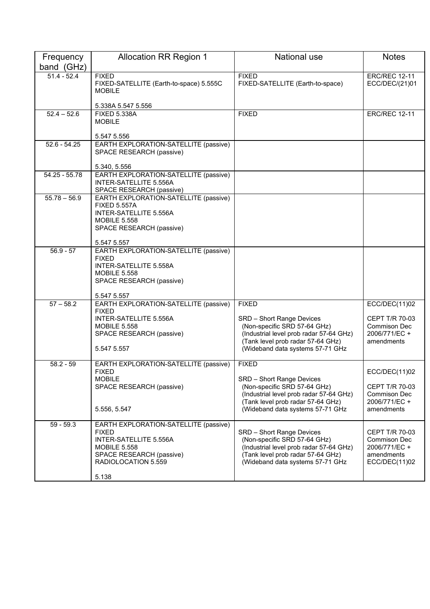| Frequency       | <b>Allocation RR Region 1</b>                                                                                                                                      | <b>National use</b>                                                                                                                                                           | <b>Notes</b>                                                                          |
|-----------------|--------------------------------------------------------------------------------------------------------------------------------------------------------------------|-------------------------------------------------------------------------------------------------------------------------------------------------------------------------------|---------------------------------------------------------------------------------------|
| band (GHz)      |                                                                                                                                                                    |                                                                                                                                                                               |                                                                                       |
| $51.4 - 52.4$   | <b>FIXED</b><br>FIXED-SATELLITE (Earth-to-space) 5.555C<br><b>MOBILE</b>                                                                                           | <b>FIXED</b><br>FIXED-SATELLITE (Earth-to-space)                                                                                                                              | <b>ERC/REC 12-11</b><br>ECC/DEC/(21)01                                                |
| $52.4 - 52.6$   | 5.338A 5.547 5.556                                                                                                                                                 | <b>FIXED</b>                                                                                                                                                                  |                                                                                       |
|                 | <b>FIXED 5.338A</b><br><b>MOBILE</b><br>5.547 5.556                                                                                                                |                                                                                                                                                                               | <b>ERC/REC 12-11</b>                                                                  |
| $52.6 - 54.25$  | EARTH EXPLORATION-SATELLITE (passive)<br>SPACE RESEARCH (passive)                                                                                                  |                                                                                                                                                                               |                                                                                       |
|                 | 5.340, 5.556                                                                                                                                                       |                                                                                                                                                                               |                                                                                       |
| $54.25 - 55.78$ | EARTH EXPLORATION-SATELLITE (passive)<br>INTER-SATELLITE 5.556A<br>SPACE RESEARCH (passive)                                                                        |                                                                                                                                                                               |                                                                                       |
| $55.78 - 56.9$  | EARTH EXPLORATION-SATELLITE (passive)<br><b>FIXED 5.557A</b><br>INTER-SATELLITE 5.556A<br><b>MOBILE 5.558</b><br>SPACE RESEARCH (passive)<br>5.547 5.557           |                                                                                                                                                                               |                                                                                       |
| $56.9 - 57$     | EARTH EXPLORATION-SATELLITE (passive)                                                                                                                              |                                                                                                                                                                               |                                                                                       |
|                 | <b>FIXED</b><br>INTER-SATELLITE 5.558A<br><b>MOBILE 5.558</b><br>SPACE RESEARCH (passive)<br>5.547 5.557                                                           |                                                                                                                                                                               |                                                                                       |
| $57 - 58.2$     | EARTH EXPLORATION-SATELLITE (passive)                                                                                                                              | <b>FIXED</b>                                                                                                                                                                  | ECC/DEC(11)02                                                                         |
|                 | <b>FIXED</b><br>INTER-SATELLITE 5.556A<br><b>MOBILE 5.558</b><br>SPACE RESEARCH (passive)<br>5.547 5.557                                                           | SRD - Short Range Devices<br>(Non-specific SRD 57-64 GHz)<br>(Industrial level prob radar 57-64 GHz)<br>(Tank level prob radar 57-64 GHz)<br>(Wideband data systems 57-71 GHz | CEPT T/R 70-03<br><b>Commison Dec</b><br>2006/771/EC +<br>amendments                  |
| $58.2 - 59$     | EARTH EXPLORATION-SATELLITE (passive)                                                                                                                              | <b>FIXED</b>                                                                                                                                                                  |                                                                                       |
|                 | <b>FIXED</b><br><b>MOBILE</b><br>SPACE RESEARCH (passive)<br>5.556, 5.547                                                                                          | SRD - Short Range Devices<br>(Non-specific SRD 57-64 GHz)<br>(Industrial level prob radar 57-64 GHz)<br>(Tank level prob radar 57-64 GHz)<br>(Wideband data systems 57-71 GHz | ECC/DEC(11)02<br><b>CEPT T/R 70-03</b><br>Commison Dec<br>2006/771/EC +<br>amendments |
| $59 - 59.3$     | EARTH EXPLORATION-SATELLITE (passive)<br><b>FIXED</b><br>INTER-SATELLITE 5.556A<br><b>MOBILE 5.558</b><br>SPACE RESEARCH (passive)<br>RADIOLOCATION 5.559<br>5.138 | SRD - Short Range Devices<br>(Non-specific SRD 57-64 GHz)<br>(Industrial level prob radar 57-64 GHz)<br>(Tank level prob radar 57-64 GHz)<br>(Wideband data systems 57-71 GHz | <b>CEPT T/R 70-03</b><br>Commison Dec<br>2006/771/EC +<br>amendments<br>ECC/DEC(11)02 |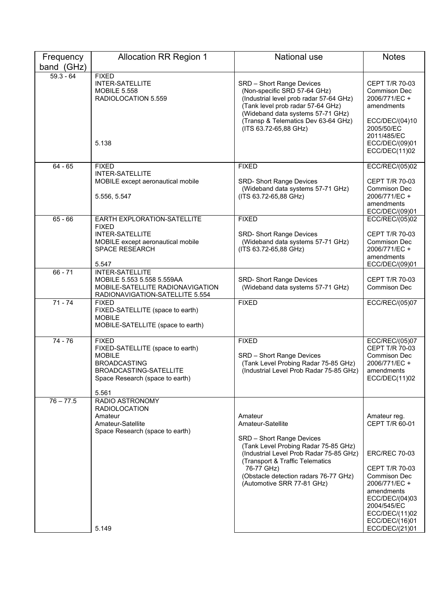| <b>Allocation RR Region 1</b>                                                                                                                                  | National use                                                                                                                                                                                                                                                         | <b>Notes</b>                                                                                                                                                                                                          |
|----------------------------------------------------------------------------------------------------------------------------------------------------------------|----------------------------------------------------------------------------------------------------------------------------------------------------------------------------------------------------------------------------------------------------------------------|-----------------------------------------------------------------------------------------------------------------------------------------------------------------------------------------------------------------------|
|                                                                                                                                                                |                                                                                                                                                                                                                                                                      |                                                                                                                                                                                                                       |
| <b>INTER-SATELLITE</b><br><b>MOBILE 5.558</b><br>RADIOLOCATION 5.559<br>5.138                                                                                  | SRD - Short Range Devices<br>(Non-specific SRD 57-64 GHz)<br>(Industrial level prob radar 57-64 GHz)<br>(Tank level prob radar 57-64 GHz)<br>(Wideband data systems 57-71 GHz)<br>(Transp & Telematics Dev 63-64 GHz)<br>(ITS 63.72-65,88 GHz)                       | <b>CEPT T/R 70-03</b><br><b>Commison Dec</b><br>2006/771/EC+<br>amendments<br>ECC/DEC/(04)10<br>2005/50/EC<br>2011/485/EC<br>ECC/DEC/(09)01<br>ECC/DEC(11)02                                                          |
| <b>FIXED</b>                                                                                                                                                   | <b>FIXED</b>                                                                                                                                                                                                                                                         | ECC/REC/(05)02                                                                                                                                                                                                        |
| MOBILE except aeronautical mobile<br>5.556, 5.547                                                                                                              | <b>SRD-Short Range Devices</b><br>(Wideband data systems 57-71 GHz)<br>(ITS 63.72-65,88 GHz)                                                                                                                                                                         | CEPT T/R 70-03<br><b>Commison Dec</b><br>2006/771/EC +<br>amendments<br>ECC/DEC/(09)01                                                                                                                                |
| EARTH EXPLORATION-SATELLITE                                                                                                                                    | <b>FIXED</b>                                                                                                                                                                                                                                                         | ECC/REC/(05)02                                                                                                                                                                                                        |
| <b>FIXED</b><br><b>INTER-SATELLITE</b><br>MOBILE except aeronautical mobile<br><b>SPACE RESEARCH</b><br>5.547                                                  | <b>SRD- Short Range Devices</b><br>(Wideband data systems 57-71 GHz)<br>(ITS 63.72-65,88 GHz)                                                                                                                                                                        | CEPT T/R 70-03<br>Commison Dec<br>2006/771/EC +<br>amendments<br>ECC/DEC/(09)01                                                                                                                                       |
| INTER-SATELLITE                                                                                                                                                |                                                                                                                                                                                                                                                                      |                                                                                                                                                                                                                       |
| MOBILE-SATELLITE RADIONAVIGATION<br>RADIONAVIGATION-SATELLITE 5.554                                                                                            | (Wideband data systems 57-71 GHz)                                                                                                                                                                                                                                    | <b>CEPT T/R 70-03</b><br>Commison Dec                                                                                                                                                                                 |
| <b>FIXED</b><br>FIXED-SATELLITE (space to earth)<br><b>MOBILE</b><br>MOBILE-SATELLITE (space to earth)                                                         | <b>FIXED</b>                                                                                                                                                                                                                                                         | ECC/REC/(05)07                                                                                                                                                                                                        |
| <b>FIXED</b><br>FIXED-SATELLITE (space to earth)<br><b>MOBILE</b><br><b>BROADCASTING</b><br>BROADCASTING-SATELLITE<br>Space Research (space to earth)<br>5.561 | <b>FIXED</b><br>SRD - Short Range Devices<br>(Tank Level Probing Radar 75-85 GHz)<br>(Industrial Level Prob Radar 75-85 GHz)                                                                                                                                         | ECC/REC/(05)07<br>CEPT T/R 70-03<br><b>Commison Dec</b><br>2006/771/EC +<br>amendments<br>ECC/DEC(11)02                                                                                                               |
| <b>RADIOLOCATION</b><br>Amateur<br>Amateur-Satellite<br>Space Research (space to earth)                                                                        | Amateur<br>Amateur-Satellite<br>SRD - Short Range Devices<br>(Tank Level Probing Radar 75-85 GHz)<br>(Industrial Level Prob Radar 75-85 GHz)<br>(Transport & Traffic Telematics<br>76-77 GHz)<br>(Obstacle detection radars 76-77 GHz)<br>(Automotive SRR 77-81 GHz) | Amateur reg.<br>CEPT T/R 60-01<br><b>ERC/REC 70-03</b><br><b>CEPT T/R 70-03</b><br>Commison Dec<br>2006/771/EC +<br>amendments<br>ECC/DEC/(04)03<br>2004/545/EC<br>ECC/DEC/(11)02<br>ECC/DEC/(16)01<br>ECC/DEC/(21)01 |
|                                                                                                                                                                | <b>FIXED</b><br><b>INTER-SATELLITE</b><br>MOBILE 5.553 5.558 5.559AA<br>RADIO ASTRONOMY<br>5.149                                                                                                                                                                     | SRD- Short Range Devices                                                                                                                                                                                              |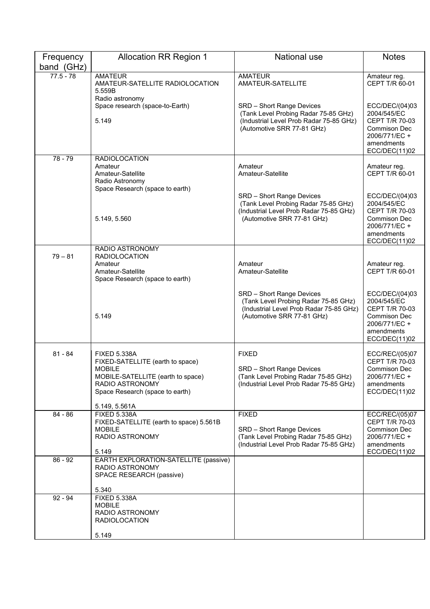| Frequency<br>band (GHz) | <b>Allocation RR Region 1</b>                                                                                                                                                        | <b>National use</b>                                                                                                                        | <b>Notes</b>                                                                                                           |
|-------------------------|--------------------------------------------------------------------------------------------------------------------------------------------------------------------------------------|--------------------------------------------------------------------------------------------------------------------------------------------|------------------------------------------------------------------------------------------------------------------------|
| $77.5 - 78$             | <b>AMATEUR</b><br>AMATEUR-SATELLITE RADIOLOCATION<br>5.559B                                                                                                                          | <b>AMATEUR</b><br>AMATEUR-SATELLITE                                                                                                        | Amateur reg.<br>CEPT T/R 60-01                                                                                         |
|                         | Radio astronomy<br>Space research (space-to-Earth)<br>5.149                                                                                                                          | SRD - Short Range Devices<br>(Tank Level Probing Radar 75-85 GHz)<br>(Industrial Level Prob Radar 75-85 GHz)<br>(Automotive SRR 77-81 GHz) | ECC/DEC/(04)03<br>2004/545/EC<br>CEPT T/R 70-03<br><b>Commison Dec</b><br>2006/771/EC +<br>amendments<br>ECC/DEC(11)02 |
| $78 - 79$               | <b>RADIOLOCATION</b><br>Amateur<br>Amateur-Satellite<br>Radio Astronomy                                                                                                              | Amateur<br>Amateur-Satellite                                                                                                               | Amateur reg.<br>CEPT T/R 60-01                                                                                         |
|                         | Space Research (space to earth)<br>5.149, 5.560                                                                                                                                      | SRD - Short Range Devices<br>(Tank Level Probing Radar 75-85 GHz)<br>(Industrial Level Prob Radar 75-85 GHz)<br>(Automotive SRR 77-81 GHz) | ECC/DEC/(04)03<br>2004/545/EC<br>CEPT T/R 70-03<br>Commison Dec<br>2006/771/EC+<br>amendments<br>ECC/DEC(11)02         |
| $79 - 81$               | RADIO ASTRONOMY<br><b>RADIOLOCATION</b><br>Amateur<br>Amateur-Satellite<br>Space Research (space to earth)                                                                           | Amateur<br>Amateur-Satellite                                                                                                               | Amateur reg.<br>CEPT T/R 60-01                                                                                         |
|                         | 5.149                                                                                                                                                                                | SRD - Short Range Devices<br>(Tank Level Probing Radar 75-85 GHz)<br>(Industrial Level Prob Radar 75-85 GHz)<br>(Automotive SRR 77-81 GHz) | ECC/DEC/(04)03<br>2004/545/EC<br>CEPT T/R 70-03<br>Commison Dec<br>2006/771/EC +<br>amendments<br>ECC/DEC(11)02        |
| $81 - 84$               | <b>FIXED 5.338A</b><br>FIXED-SATELLITE (earth to space)<br><b>MOBILE</b><br>MOBILE-SATELLITE (earth to space)<br>RADIO ASTRONOMY<br>Space Research (space to earth)<br>5.149, 5.561A | <b>FIXED</b><br>SRD - Short Range Devices<br>(Tank Level Probing Radar 75-85 GHz)<br>(Industrial Level Prob Radar 75-85 GHz)               | ECC/REC/(05)07<br>CEPT T/R 70-03<br><b>Commison Dec</b><br>2006/771/EC +<br>amendments<br>ECC/DEC(11)02                |
| $84 - 86$               | <b>FIXED 5.338A</b><br>FIXED-SATELLITE (earth to space) 5.561B<br><b>MOBILE</b><br>RADIO ASTRONOMY<br>5.149                                                                          | <b>FIXED</b><br>SRD - Short Range Devices<br>(Tank Level Probing Radar 75-85 GHz)<br>(Industrial Level Prob Radar 75-85 GHz)               | ECC/REC/(05)07<br>CEPT T/R 70-03<br>Commison Dec<br>2006/771/EC +<br>amendments<br>ECC/DEC(11)02                       |
| $86 - 92$               | EARTH EXPLORATION-SATELLITE (passive)<br>RADIO ASTRONOMY<br>SPACE RESEARCH (passive)<br>5.340                                                                                        |                                                                                                                                            |                                                                                                                        |
| $92 - 94$               | <b>FIXED 5.338A</b><br><b>MOBILE</b><br>RADIO ASTRONOMY<br><b>RADIOLOCATION</b><br>5.149                                                                                             |                                                                                                                                            |                                                                                                                        |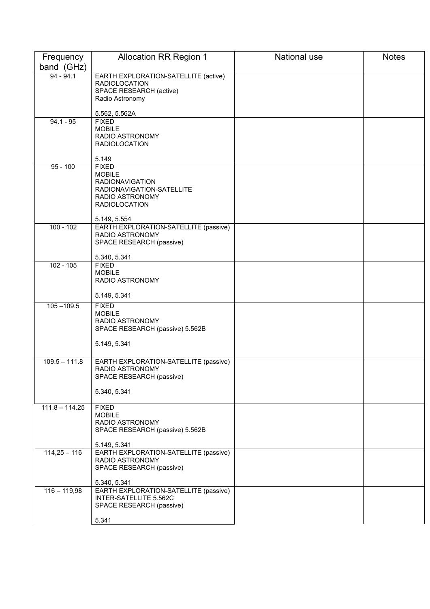| Frequency                 | <b>Allocation RR Region 1</b>                                   | National use | <b>Notes</b> |
|---------------------------|-----------------------------------------------------------------|--------------|--------------|
| band (GHz)<br>$94 - 94.1$ | EARTH EXPLORATION-SATELLITE (active)                            |              |              |
|                           | <b>RADIOLOCATION</b>                                            |              |              |
|                           | SPACE RESEARCH (active)                                         |              |              |
|                           | Radio Astronomy                                                 |              |              |
|                           | 5.562, 5.562A                                                   |              |              |
| $94.1 - 95$               | <b>FIXED</b>                                                    |              |              |
|                           | <b>MOBILE</b>                                                   |              |              |
|                           | RADIO ASTRONOMY<br><b>RADIOLOCATION</b>                         |              |              |
|                           |                                                                 |              |              |
|                           | 5.149                                                           |              |              |
| $95 - 100$                | <b>FIXED</b>                                                    |              |              |
|                           | <b>MOBILE</b><br><b>RADIONAVIGATION</b>                         |              |              |
|                           | RADIONAVIGATION-SATELLITE                                       |              |              |
|                           | RADIO ASTRONOMY                                                 |              |              |
|                           | <b>RADIOLOCATION</b>                                            |              |              |
|                           | 5.149, 5.554                                                    |              |              |
| $100 - 102$               | EARTH EXPLORATION-SATELLITE (passive)                           |              |              |
|                           | RADIO ASTRONOMY                                                 |              |              |
|                           | SPACE RESEARCH (passive)                                        |              |              |
|                           | 5.340, 5.341                                                    |              |              |
| $102 - 105$               | <b>FIXED</b>                                                    |              |              |
|                           | <b>MOBILE</b><br>RADIO ASTRONOMY                                |              |              |
|                           |                                                                 |              |              |
|                           | 5.149, 5.341                                                    |              |              |
| $105 - 109.5$             | <b>FIXED</b>                                                    |              |              |
|                           | <b>MOBILE</b><br>RADIO ASTRONOMY                                |              |              |
|                           | SPACE RESEARCH (passive) 5.562B                                 |              |              |
|                           |                                                                 |              |              |
|                           | 5.149, 5.341                                                    |              |              |
| $109.5 - 111.8$           | EARTH EXPLORATION-SATELLITE (passive)                           |              |              |
|                           | RADIO ASTRONOMY                                                 |              |              |
|                           | SPACE RESEARCH (passive)                                        |              |              |
|                           |                                                                 |              |              |
|                           | 5.340, 5.341                                                    |              |              |
| $111.8 - 114.25$          | <b>FIXED</b>                                                    |              |              |
|                           | <b>MOBILE</b>                                                   |              |              |
|                           | RADIO ASTRONOMY<br>SPACE RESEARCH (passive) 5.562B              |              |              |
|                           |                                                                 |              |              |
|                           | 5.149, 5.341                                                    |              |              |
| $114,25 - 116$            | EARTH EXPLORATION-SATELLITE (passive)                           |              |              |
|                           | RADIO ASTRONOMY<br>SPACE RESEARCH (passive)                     |              |              |
|                           |                                                                 |              |              |
|                           | 5.340, 5.341                                                    |              |              |
| $116 - 119,98$            | EARTH EXPLORATION-SATELLITE (passive)<br>INTER-SATELLITE 5.562C |              |              |
|                           | SPACE RESEARCH (passive)                                        |              |              |
|                           |                                                                 |              |              |
|                           | 5.341                                                           |              |              |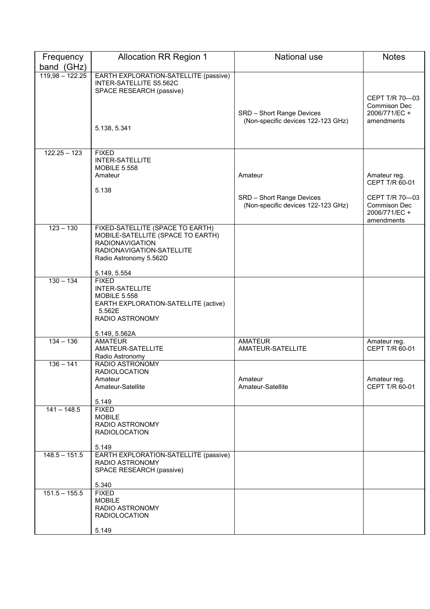| Frequency         | <b>Allocation RR Region 1</b>                                                                                                                          | <b>National use</b>                                             | <b>Notes</b>                                                         |
|-------------------|--------------------------------------------------------------------------------------------------------------------------------------------------------|-----------------------------------------------------------------|----------------------------------------------------------------------|
| band (GHz)        |                                                                                                                                                        |                                                                 |                                                                      |
| $119,98 - 122.25$ | EARTH EXPLORATION-SATELLITE (passive)<br>INTER-SATELLITE S5.562C<br>SPACE RESEARCH (passive)<br>5.138, 5.341                                           | SRD - Short Range Devices<br>(Non-specific devices 122-123 GHz) | CEPT T/R 70-03<br><b>Commison Dec</b><br>2006/771/EC +<br>amendments |
|                   |                                                                                                                                                        |                                                                 |                                                                      |
| $122.25 - 123$    | <b>FIXED</b><br><b>INTER-SATELLITE</b><br><b>MOBILE 5.558</b><br>Amateur<br>5.138                                                                      | Amateur                                                         | Amateur reg.<br>CEPT T/R 60-01                                       |
|                   |                                                                                                                                                        | SRD - Short Range Devices<br>(Non-specific devices 122-123 GHz) | CEPT T/R 70-03<br><b>Commison Dec</b><br>2006/771/EC +<br>amendments |
| $123 - 130$       | FIXED-SATELLITE (SPACE TO EARTH)<br>MOBILE-SATELLITE (SPACE TO EARTH)<br><b>RADIONAVIGATION</b><br>RADIONAVIGATION-SATELLITE<br>Radio Astronomy 5.562D |                                                                 |                                                                      |
| $130 - 134$       | 5.149, 5.554<br><b>FIXED</b>                                                                                                                           |                                                                 |                                                                      |
|                   | <b>INTER-SATELLITE</b><br><b>MOBILE 5.558</b><br>EARTH EXPLORATION-SATELLITE (active)<br>5.562E<br>RADIO ASTRONOMY                                     |                                                                 |                                                                      |
|                   | 5.149, 5.562A                                                                                                                                          |                                                                 |                                                                      |
| $134 - 136$       | <b>AMATEUR</b><br>AMATEUR-SATELLITE<br>Radio Astronomy                                                                                                 | <b>AMATEUR</b><br>AMATEUR-SATELLITE                             | Amateur reg.<br>CEPT T/R 60-01                                       |
| $136 - 141$       | RADIO ASTRONOMY<br><b>RADIOLOCATION</b><br>Amateur<br>Amateur-Satellite<br>5.149                                                                       | Amateur<br>Amateur-Satellite                                    | Amateur reg.<br>CEPT T/R 60-01                                       |
| $141 - 148.5$     | <b>FIXED</b><br><b>MOBILE</b><br>RADIO ASTRONOMY<br><b>RADIOLOCATION</b><br>5.149                                                                      |                                                                 |                                                                      |
| $148.5 - 151.5$   | EARTH EXPLORATION-SATELLITE (passive)<br><b>RADIO ASTRONOMY</b><br>SPACE RESEARCH (passive)<br>5.340                                                   |                                                                 |                                                                      |
| $151.5 - 155.5$   | <b>FIXED</b>                                                                                                                                           |                                                                 |                                                                      |
|                   | <b>MOBILE</b><br>RADIO ASTRONOMY<br><b>RADIOLOCATION</b>                                                                                               |                                                                 |                                                                      |
|                   | 5.149                                                                                                                                                  |                                                                 |                                                                      |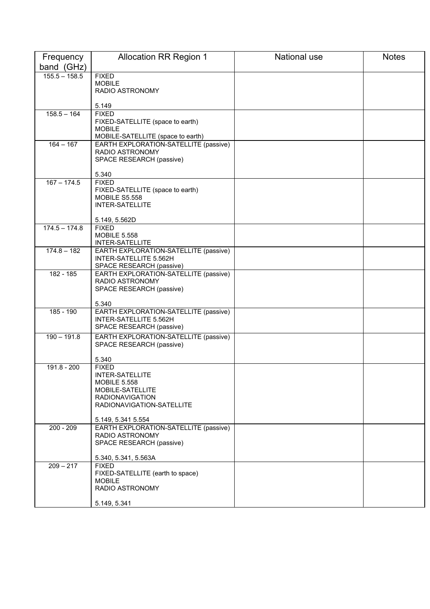| Frequency       | <b>Allocation RR Region 1</b>                                     | National use | <b>Notes</b> |
|-----------------|-------------------------------------------------------------------|--------------|--------------|
| band (GHz)      |                                                                   |              |              |
| $155.5 - 158.5$ | <b>FIXED</b>                                                      |              |              |
|                 | <b>MOBILE</b>                                                     |              |              |
|                 | RADIO ASTRONOMY                                                   |              |              |
|                 | 5.149                                                             |              |              |
| $158.5 - 164$   | <b>FIXED</b>                                                      |              |              |
|                 | FIXED-SATELLITE (space to earth)<br><b>MOBILE</b>                 |              |              |
|                 | MOBILE-SATELLITE (space to earth)                                 |              |              |
| $164 - 167$     | EARTH EXPLORATION-SATELLITE (passive)                             |              |              |
|                 | RADIO ASTRONOMY                                                   |              |              |
|                 | SPACE RESEARCH (passive)                                          |              |              |
|                 | 5.340                                                             |              |              |
| $167 - 174.5$   | <b>FIXED</b>                                                      |              |              |
|                 | FIXED-SATELLITE (space to earth)                                  |              |              |
|                 | <b>MOBILE S5.558</b><br><b>INTER-SATELLITE</b>                    |              |              |
|                 |                                                                   |              |              |
|                 | 5.149, 5.562D                                                     |              |              |
| $174.5 - 174.8$ | <b>FIXED</b><br><b>MOBILE 5.558</b>                               |              |              |
|                 | INTER-SATELLITE                                                   |              |              |
| $174.8 - 182$   | EARTH EXPLORATION-SATELLITE (passive)                             |              |              |
|                 | INTER-SATELLITE 5.562H                                            |              |              |
| 182 - 185       | SPACE RESEARCH (passive)<br>EARTH EXPLORATION-SATELLITE (passive) |              |              |
|                 | RADIO ASTRONOMY                                                   |              |              |
|                 | SPACE RESEARCH (passive)                                          |              |              |
|                 |                                                                   |              |              |
| 185 - 190       | 5.340<br>EARTH EXPLORATION-SATELLITE (passive)                    |              |              |
|                 | INTER-SATELLITE 5.562H                                            |              |              |
|                 | SPACE RESEARCH (passive)                                          |              |              |
| $190 - 191.8$   | EARTH EXPLORATION-SATELLITE (passive)                             |              |              |
|                 | SPACE RESEARCH (passive)                                          |              |              |
|                 | 5.340                                                             |              |              |
| 191.8 - 200     | <b>FIXED</b>                                                      |              |              |
|                 | <b>INTER-SATELLITE</b>                                            |              |              |
|                 | <b>MOBILE 5.558</b><br>MOBILE-SATELLITE                           |              |              |
|                 | <b>RADIONAVIGATION</b>                                            |              |              |
|                 | RADIONAVIGATION-SATELLITE                                         |              |              |
|                 |                                                                   |              |              |
| $200 - 209$     | 5.149, 5.341 5.554<br>EARTH EXPLORATION-SATELLITE (passive)       |              |              |
|                 | RADIO ASTRONOMY                                                   |              |              |
|                 | SPACE RESEARCH (passive)                                          |              |              |
|                 | 5.340, 5.341, 5.563A                                              |              |              |
| $209 - 217$     | <b>FIXED</b>                                                      |              |              |
|                 | FIXED-SATELLITE (earth to space)                                  |              |              |
|                 | <b>MOBILE</b>                                                     |              |              |
|                 | RADIO ASTRONOMY                                                   |              |              |
|                 | 5.149, 5.341                                                      |              |              |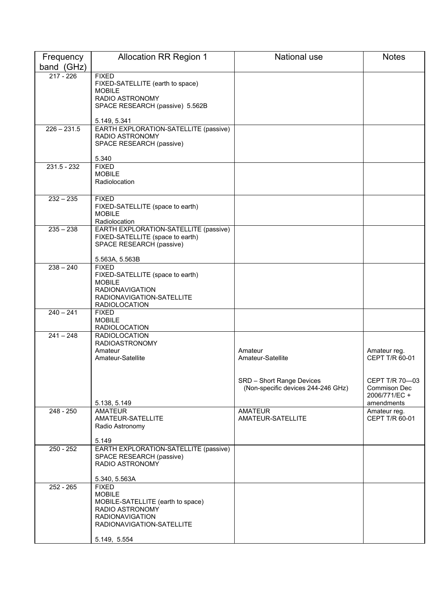| Frequency     | <b>Allocation RR Region 1</b>                                     | National use                       | <b>Notes</b>                   |
|---------------|-------------------------------------------------------------------|------------------------------------|--------------------------------|
| band (GHz)    |                                                                   |                                    |                                |
| $217 - 226$   | <b>FIXED</b>                                                      |                                    |                                |
|               | FIXED-SATELLITE (earth to space)<br><b>MOBILE</b>                 |                                    |                                |
|               | RADIO ASTRONOMY                                                   |                                    |                                |
|               | SPACE RESEARCH (passive) 5.562B                                   |                                    |                                |
|               | 5.149, 5.341                                                      |                                    |                                |
| $226 - 231.5$ | EARTH EXPLORATION-SATELLITE (passive)<br>RADIO ASTRONOMY          |                                    |                                |
|               | SPACE RESEARCH (passive)                                          |                                    |                                |
|               | 5.340                                                             |                                    |                                |
| $231.5 - 232$ | <b>FIXED</b>                                                      |                                    |                                |
|               | <b>MOBILE</b>                                                     |                                    |                                |
|               | Radiolocation                                                     |                                    |                                |
| $232 - 235$   | <b>FIXED</b>                                                      |                                    |                                |
|               | FIXED-SATELLITE (space to earth)                                  |                                    |                                |
|               | <b>MOBILE</b><br>Radiolocation                                    |                                    |                                |
| $235 - 238$   | EARTH EXPLORATION-SATELLITE (passive)                             |                                    |                                |
|               | FIXED-SATELLITE (space to earth)                                  |                                    |                                |
|               | SPACE RESEARCH (passive)                                          |                                    |                                |
|               | 5.563A, 5.563B                                                    |                                    |                                |
| $238 - 240$   | <b>FIXED</b><br>FIXED-SATELLITE (space to earth)                  |                                    |                                |
|               | <b>MOBILE</b>                                                     |                                    |                                |
|               | <b>RADIONAVIGATION</b><br>RADIONAVIGATION-SATELLITE               |                                    |                                |
|               | <b>RADIOLOCATION</b>                                              |                                    |                                |
| $240 - 241$   | <b>FIXED</b>                                                      |                                    |                                |
|               | <b>MOBILE</b><br><b>RADIOLOCATION</b>                             |                                    |                                |
| $241 - 248$   | <b>RADIOLOCATION</b>                                              |                                    |                                |
|               | <b>RADIOASTRONOMY</b><br>Amateur                                  | Amateur                            |                                |
|               | Amateur-Satellite                                                 | Amateur-Satellite                  | Amateur reg.<br>CEPT T/R 60-01 |
|               |                                                                   |                                    |                                |
|               |                                                                   | SRD - Short Range Devices          | CEPT T/R 70-03                 |
|               |                                                                   | (Non-specific devices 244-246 GHz) | <b>Commison Dec</b>            |
|               | 5.138, 5.149                                                      |                                    | 2006/771/EC +<br>amendments    |
| $248 - 250$   | <b>AMATEUR</b>                                                    | <b>AMATEUR</b>                     | Amateur reg.                   |
|               | AMATEUR-SATELLITE<br>Radio Astronomy                              | AMATEUR-SATELLITE                  | CEPT T/R 60-01                 |
|               |                                                                   |                                    |                                |
|               | 5.149                                                             |                                    |                                |
| $250 - 252$   | EARTH EXPLORATION-SATELLITE (passive)<br>SPACE RESEARCH (passive) |                                    |                                |
|               | RADIO ASTRONOMY                                                   |                                    |                                |
|               | 5.340, 5.563A                                                     |                                    |                                |
| 252 - 265     | <b>FIXED</b>                                                      |                                    |                                |
|               | <b>MOBILE</b>                                                     |                                    |                                |
|               | MOBILE-SATELLITE (earth to space)<br>RADIO ASTRONOMY              |                                    |                                |
|               | <b>RADIONAVIGATION</b>                                            |                                    |                                |
|               | RADIONAVIGATION-SATELLITE                                         |                                    |                                |
|               | 5.149, 5.554                                                      |                                    |                                |